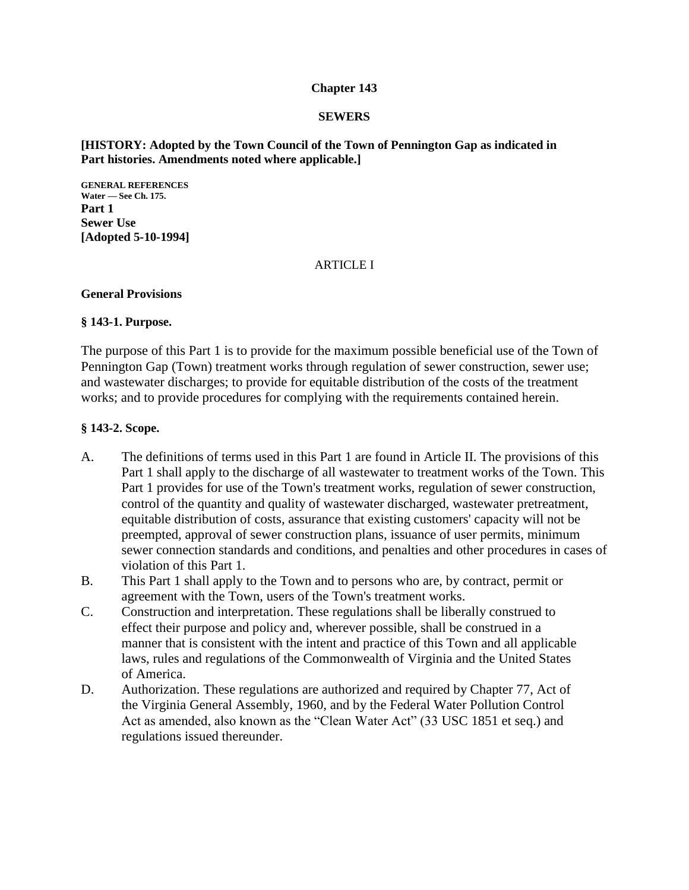### **Chapter 143**

### **SEWERS**

### **[HISTORY: Adopted by the Town Council of the Town of Pennington Gap as indicated in Part histories. Amendments noted where applicable.]**

**GENERAL REFERENCES Water — See Ch. 175. Part 1 Sewer Use [Adopted 5-10-1994]**

#### **ARTICLE I**

#### **General Provisions**

### **§ 143-1. Purpose.**

The purpose of this Part 1 is to provide for the maximum possible beneficial use of the Town of Pennington Gap (Town) treatment works through regulation of sewer construction, sewer use; and wastewater discharges; to provide for equitable distribution of the costs of the treatment works; and to provide procedures for complying with the requirements contained herein.

### **§ 143-2. Scope.**

- A. The definitions of terms used in this Part 1 are found in Article II. The provisions of this Part 1 shall apply to the discharge of all wastewater to treatment works of the Town. This Part 1 provides for use of the Town's treatment works, regulation of sewer construction, control of the quantity and quality of wastewater discharged, wastewater pretreatment, equitable distribution of costs, assurance that existing customers' capacity will not be preempted, approval of sewer construction plans, issuance of user permits, minimum sewer connection standards and conditions, and penalties and other procedures in cases of violation of this Part 1.
- B. This Part 1 shall apply to the Town and to persons who are, by contract, permit or agreement with the Town, users of the Town's treatment works.
- C. Construction and interpretation. These regulations shall be liberally construed to effect their purpose and policy and, wherever possible, shall be construed in a manner that is consistent with the intent and practice of this Town and all applicable laws, rules and regulations of the Commonwealth of Virginia and the United States of America.
- D. Authorization. These regulations are authorized and required by Chapter 77, Act of the Virginia General Assembly, 1960, and by the Federal Water Pollution Control Act as amended, also known as the "Clean Water Act" (33 USC 1851 et seq.) and regulations issued thereunder.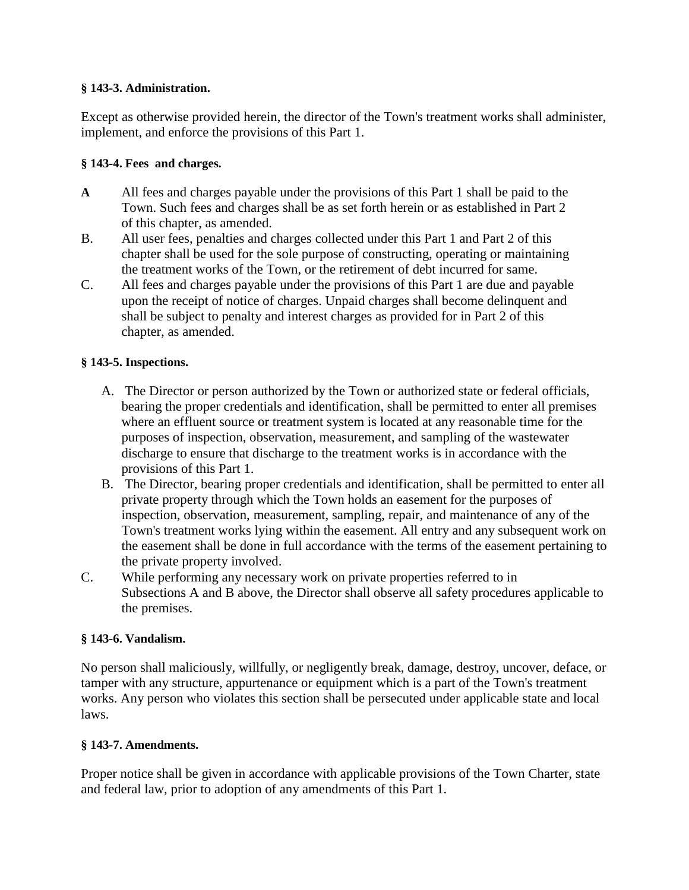### **§ 143-3. Administration.**

Except as otherwise provided herein, the director of the Town's treatment works shall administer, implement, and enforce the provisions of this Part 1.

## **§ 143-4. Fees and charges.**

- **A** All fees and charges payable under the provisions of this Part 1 shall be paid to the Town. Such fees and charges shall be as set forth herein or as established in Part 2 of this chapter, as amended.
- B. All user fees, penalties and charges collected under this Part 1 and Part 2 of this chapter shall be used for the sole purpose of constructing, operating or maintaining the treatment works of the Town, or the retirement of debt incurred for same.
- C. All fees and charges payable under the provisions of this Part 1 are due and payable upon the receipt of notice of charges. Unpaid charges shall become delinquent and shall be subject to penalty and interest charges as provided for in Part 2 of this chapter, as amended.

## **§ 143-5. Inspections.**

- A. The Director or person authorized by the Town or authorized state or federal officials, bearing the proper credentials and identification, shall be permitted to enter all premises where an effluent source or treatment system is located at any reasonable time for the purposes of inspection, observation, measurement, and sampling of the wastewater discharge to ensure that discharge to the treatment works is in accordance with the provisions of this Part 1.
- B. The Director, bearing proper credentials and identification, shall be permitted to enter all private property through which the Town holds an easement for the purposes of inspection, observation, measurement, sampling, repair, and maintenance of any of the Town's treatment works lying within the easement. All entry and any subsequent work on the easement shall be done in full accordance with the terms of the easement pertaining to the private property involved.
- C. While performing any necessary work on private properties referred to in Subsections A and B above, the Director shall observe all safety procedures applicable to the premises.

## **§ 143-6. Vandalism.**

No person shall maliciously, willfully, or negligently break, damage, destroy, uncover, deface, or tamper with any structure, appurtenance or equipment which is a part of the Town's treatment works. Any person who violates this section shall be persecuted under applicable state and local laws.

## **§ 143-7. Amendments.**

Proper notice shall be given in accordance with applicable provisions of the Town Charter, state and federal law, prior to adoption of any amendments of this Part 1.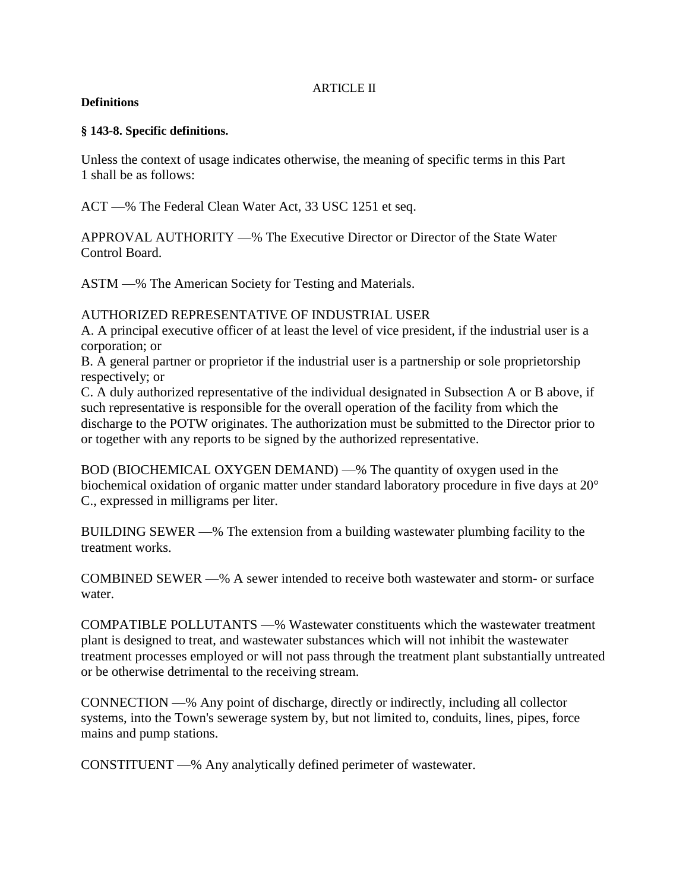### ARTICLE II

### **Definitions**

### **§ 143-8. Specific definitions.**

Unless the context of usage indicates otherwise, the meaning of specific terms in this Part 1 shall be as follows:

ACT —% The Federal Clean Water Act, 33 USC 1251 et seq.

APPROVAL AUTHORITY —% The Executive Director or Director of the State Water Control Board.

ASTM —% The American Society for Testing and Materials.

## AUTHORIZED REPRESENTATIVE OF INDUSTRIAL USER

A. A principal executive officer of at least the level of vice president, if the industrial user is a corporation; or

B. A general partner or proprietor if the industrial user is a partnership or sole proprietorship respectively; or

C. A duly authorized representative of the individual designated in Subsection A or B above, if such representative is responsible for the overall operation of the facility from which the discharge to the POTW originates. The authorization must be submitted to the Director prior to or together with any reports to be signed by the authorized representative.

BOD (BIOCHEMICAL OXYGEN DEMAND) —% The quantity of oxygen used in the biochemical oxidation of organic matter under standard laboratory procedure in five days at 20° C., expressed in milligrams per liter.

BUILDING SEWER —% The extension from a building wastewater plumbing facility to the treatment works.

COMBINED SEWER —% A sewer intended to receive both wastewater and storm- or surface water.

COMPATIBLE POLLUTANTS —% Wastewater constituents which the wastewater treatment plant is designed to treat, and wastewater substances which will not inhibit the wastewater treatment processes employed or will not pass through the treatment plant substantially untreated or be otherwise detrimental to the receiving stream.

CONNECTION —% Any point of discharge, directly or indirectly, including all collector systems, into the Town's sewerage system by, but not limited to, conduits, lines, pipes, force mains and pump stations.

CONSTITUENT —% Any analytically defined perimeter of wastewater.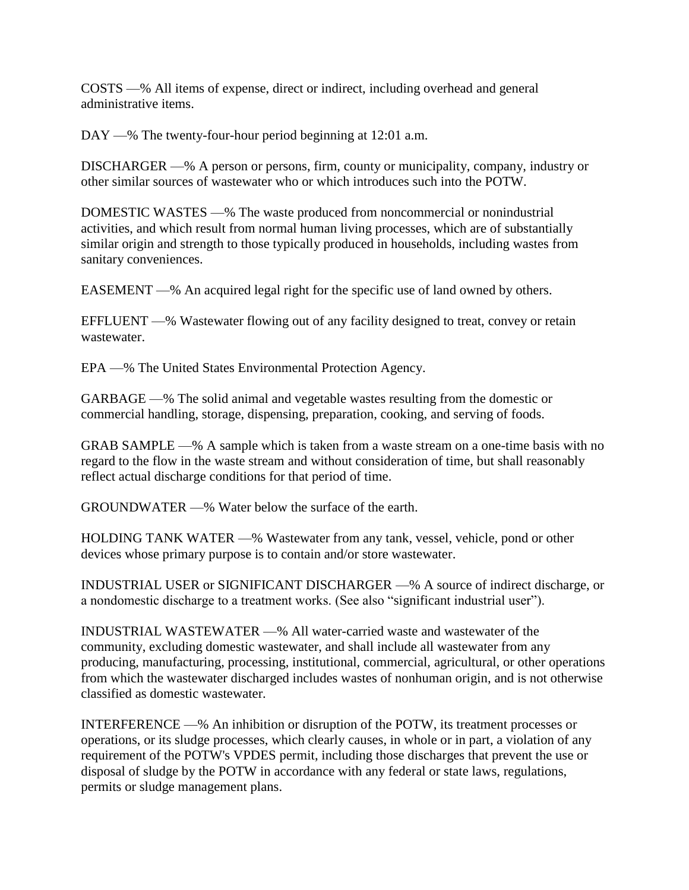COSTS —% All items of expense, direct or indirect, including overhead and general administrative items.

DAY —% The twenty-four-hour period beginning at 12:01 a.m.

DISCHARGER —% A person or persons, firm, county or municipality, company, industry or other similar sources of wastewater who or which introduces such into the POTW.

DOMESTIC WASTES —% The waste produced from noncommercial or nonindustrial activities, and which result from normal human living processes, which are of substantially similar origin and strength to those typically produced in households, including wastes from sanitary conveniences.

EASEMENT —% An acquired legal right for the specific use of land owned by others.

EFFLUENT —% Wastewater flowing out of any facility designed to treat, convey or retain wastewater.

EPA —% The United States Environmental Protection Agency.

GARBAGE —% The solid animal and vegetable wastes resulting from the domestic or commercial handling, storage, dispensing, preparation, cooking, and serving of foods.

GRAB SAMPLE —% A sample which is taken from a waste stream on a one-time basis with no regard to the flow in the waste stream and without consideration of time, but shall reasonably reflect actual discharge conditions for that period of time.

GROUNDWATER —% Water below the surface of the earth.

HOLDING TANK WATER —% Wastewater from any tank, vessel, vehicle, pond or other devices whose primary purpose is to contain and/or store wastewater.

INDUSTRIAL USER or SIGNIFICANT DISCHARGER —% A source of indirect discharge, or a nondomestic discharge to a treatment works. (See also "significant industrial user").

INDUSTRIAL WASTEWATER —% All water-carried waste and wastewater of the community, excluding domestic wastewater, and shall include all wastewater from any producing, manufacturing, processing, institutional, commercial, agricultural, or other operations from which the wastewater discharged includes wastes of nonhuman origin, and is not otherwise classified as domestic wastewater.

INTERFERENCE —% An inhibition or disruption of the POTW, its treatment processes or operations, or its sludge processes, which clearly causes, in whole or in part, a violation of any requirement of the POTW's VPDES permit, including those discharges that prevent the use or disposal of sludge by the POTW in accordance with any federal or state laws, regulations, permits or sludge management plans.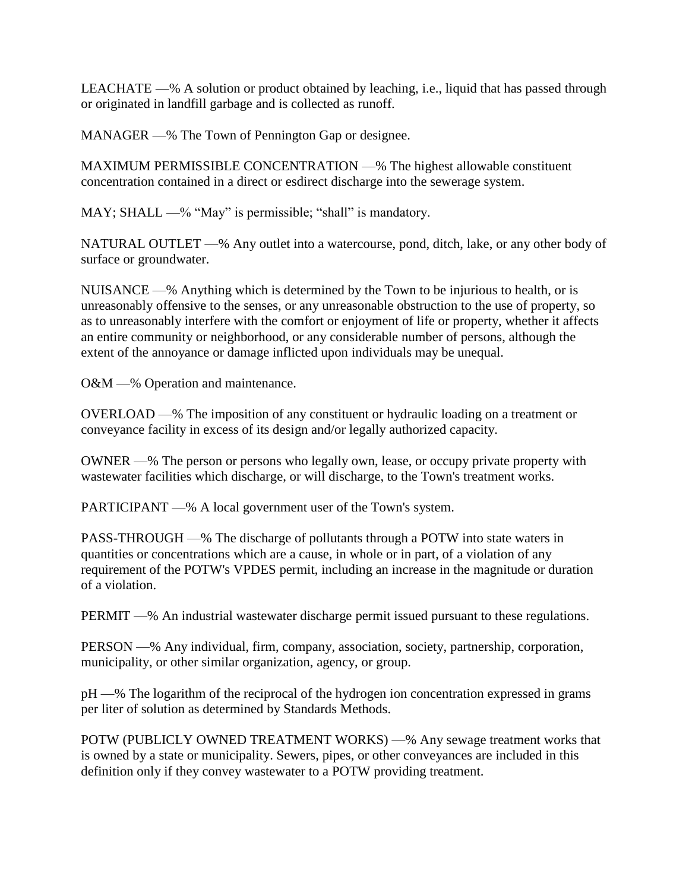LEACHATE —% A solution or product obtained by leaching, i.e., liquid that has passed through or originated in landfill garbage and is collected as runoff.

MANAGER —% The Town of Pennington Gap or designee.

MAXIMUM PERMISSIBLE CONCENTRATION —% The highest allowable constituent concentration contained in a direct or esdirect discharge into the sewerage system.

MAY; SHALL —% "May" is permissible; "shall" is mandatory.

NATURAL OUTLET —% Any outlet into a watercourse, pond, ditch, lake, or any other body of surface or groundwater.

NUISANCE —% Anything which is determined by the Town to be injurious to health, or is unreasonably offensive to the senses, or any unreasonable obstruction to the use of property, so as to unreasonably interfere with the comfort or enjoyment of life or property, whether it affects an entire community or neighborhood, or any considerable number of persons, although the extent of the annoyance or damage inflicted upon individuals may be unequal.

O&M —% Operation and maintenance.

OVERLOAD —% The imposition of any constituent or hydraulic loading on a treatment or conveyance facility in excess of its design and/or legally authorized capacity.

OWNER —% The person or persons who legally own, lease, or occupy private property with wastewater facilities which discharge, or will discharge, to the Town's treatment works.

PARTICIPANT —% A local government user of the Town's system.

PASS-THROUGH —% The discharge of pollutants through a POTW into state waters in quantities or concentrations which are a cause, in whole or in part, of a violation of any requirement of the POTW's VPDES permit, including an increase in the magnitude or duration of a violation.

PERMIT —% An industrial wastewater discharge permit issued pursuant to these regulations.

PERSON —% Any individual, firm, company, association, society, partnership, corporation, municipality, or other similar organization, agency, or group.

pH —% The logarithm of the reciprocal of the hydrogen ion concentration expressed in grams per liter of solution as determined by Standards Methods.

POTW (PUBLICLY OWNED TREATMENT WORKS) —% Any sewage treatment works that is owned by a state or municipality. Sewers, pipes, or other conveyances are included in this definition only if they convey wastewater to a POTW providing treatment.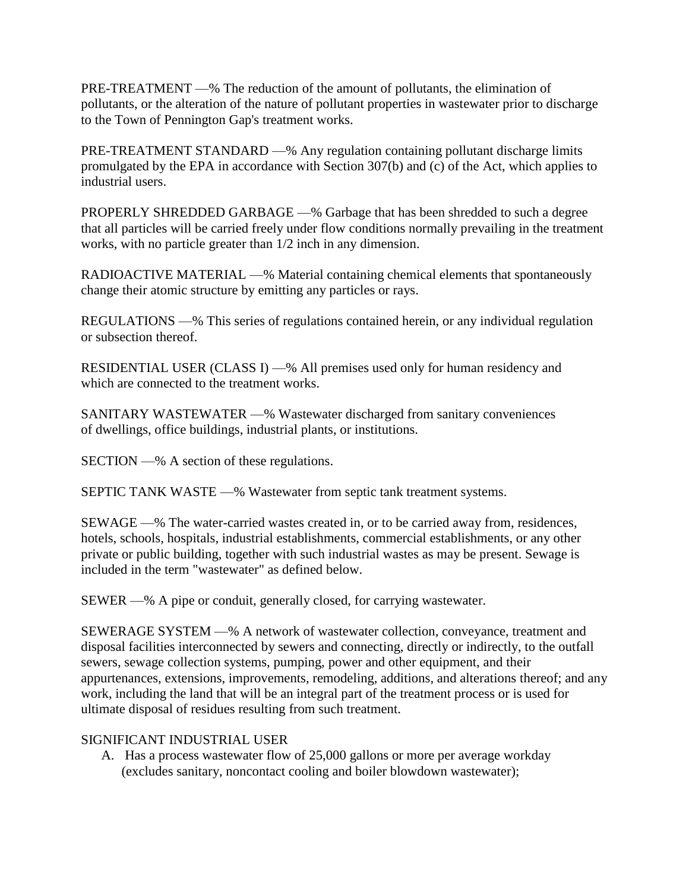PRE-TREATMENT —% The reduction of the amount of pollutants, the elimination of pollutants, or the alteration of the nature of pollutant properties in wastewater prior to discharge to the Town of Pennington Gap's treatment works.

PRE-TREATMENT STANDARD —% Any regulation containing pollutant discharge limits promulgated by the EPA in accordance with Section 307(b) and (c) of the Act, which applies to industrial users.

PROPERLY SHREDDED GARBAGE —% Garbage that has been shredded to such a degree that all particles will be carried freely under flow conditions normally prevailing in the treatment works, with no particle greater than 1/2 inch in any dimension.

RADIOACTIVE MATERIAL —% Material containing chemical elements that spontaneously change their atomic structure by emitting any particles or rays.

REGULATIONS —% This series of regulations contained herein, or any individual regulation or subsection thereof.

RESIDENTIAL USER (CLASS I) —% All premises used only for human residency and which are connected to the treatment works.

SANITARY WASTEWATER —% Wastewater discharged from sanitary conveniences of dwellings, office buildings, industrial plants, or institutions.

SECTION —% A section of these regulations.

SEPTIC TANK WASTE —% Wastewater from septic tank treatment systems.

SEWAGE —% The water-carried wastes created in, or to be carried away from, residences, hotels, schools, hospitals, industrial establishments, commercial establishments, or any other private or public building, together with such industrial wastes as may be present. Sewage is included in the term "wastewater" as defined below.

SEWER —% A pipe or conduit, generally closed, for carrying wastewater.

SEWERAGE SYSTEM —% A network of wastewater collection, conveyance, treatment and disposal facilities interconnected by sewers and connecting, directly or indirectly, to the outfall sewers, sewage collection systems, pumping, power and other equipment, and their appurtenances, extensions, improvements, remodeling, additions, and alterations thereof; and any work, including the land that will be an integral part of the treatment process or is used for ultimate disposal of residues resulting from such treatment.

## SIGNIFICANT INDUSTRIAL USER

A. Has a process wastewater flow of 25,000 gallons or more per average workday (excludes sanitary, noncontact cooling and boiler blowdown wastewater);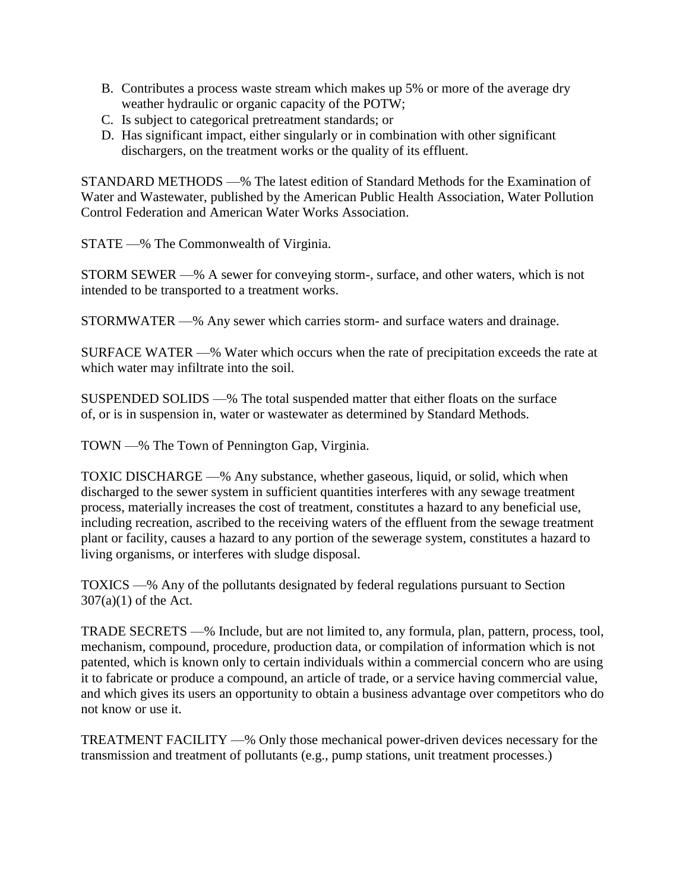- B. Contributes a process waste stream which makes up 5% or more of the average dry weather hydraulic or organic capacity of the POTW;
- C. Is subject to categorical pretreatment standards; or
- D. Has significant impact, either singularly or in combination with other significant dischargers, on the treatment works or the quality of its effluent.

STANDARD METHODS —% The latest edition of Standard Methods for the Examination of Water and Wastewater, published by the American Public Health Association, Water Pollution Control Federation and American Water Works Association.

STATE —% The Commonwealth of Virginia.

STORM SEWER —% A sewer for conveying storm-, surface, and other waters, which is not intended to be transported to a treatment works.

STORMWATER —% Any sewer which carries storm- and surface waters and drainage.

SURFACE WATER —% Water which occurs when the rate of precipitation exceeds the rate at which water may infiltrate into the soil.

SUSPENDED SOLIDS —% The total suspended matter that either floats on the surface of, or is in suspension in, water or wastewater as determined by Standard Methods.

TOWN —% The Town of Pennington Gap, Virginia.

TOXIC DISCHARGE —% Any substance, whether gaseous, liquid, or solid, which when discharged to the sewer system in sufficient quantities interferes with any sewage treatment process, materially increases the cost of treatment, constitutes a hazard to any beneficial use, including recreation, ascribed to the receiving waters of the effluent from the sewage treatment plant or facility, causes a hazard to any portion of the sewerage system, constitutes a hazard to living organisms, or interferes with sludge disposal.

TOXICS —% Any of the pollutants designated by federal regulations pursuant to Section 307(a)(1) of the Act.

TRADE SECRETS —% Include, but are not limited to, any formula, plan, pattern, process, tool, mechanism, compound, procedure, production data, or compilation of information which is not patented, which is known only to certain individuals within a commercial concern who are using it to fabricate or produce a compound, an article of trade, or a service having commercial value, and which gives its users an opportunity to obtain a business advantage over competitors who do not know or use it.

TREATMENT FACILITY —% Only those mechanical power-driven devices necessary for the transmission and treatment of pollutants (e.g., pump stations, unit treatment processes.)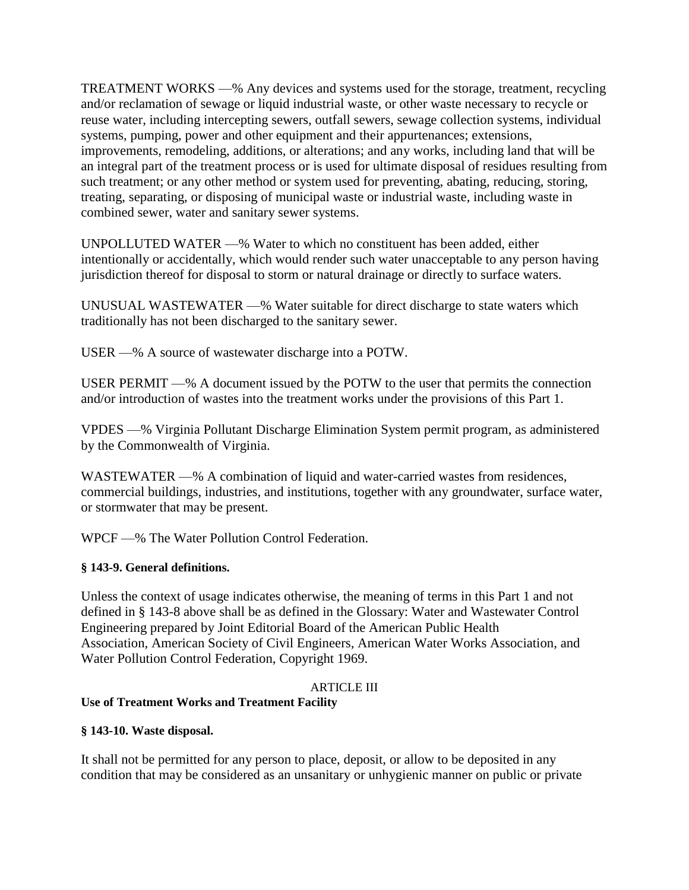TREATMENT WORKS —% Any devices and systems used for the storage, treatment, recycling and/or reclamation of sewage or liquid industrial waste, or other waste necessary to recycle or reuse water, including intercepting sewers, outfall sewers, sewage collection systems, individual systems, pumping, power and other equipment and their appurtenances; extensions, improvements, remodeling, additions, or alterations; and any works, including land that will be an integral part of the treatment process or is used for ultimate disposal of residues resulting from such treatment; or any other method or system used for preventing, abating, reducing, storing, treating, separating, or disposing of municipal waste or industrial waste, including waste in combined sewer, water and sanitary sewer systems.

UNPOLLUTED WATER —% Water to which no constituent has been added, either intentionally or accidentally, which would render such water unacceptable to any person having jurisdiction thereof for disposal to storm or natural drainage or directly to surface waters.

UNUSUAL WASTEWATER —% Water suitable for direct discharge to state waters which traditionally has not been discharged to the sanitary sewer.

USER —% A source of wastewater discharge into a POTW.

USER PERMIT —% A document issued by the POTW to the user that permits the connection and/or introduction of wastes into the treatment works under the provisions of this Part 1.

VPDES —% Virginia Pollutant Discharge Elimination System permit program, as administered by the Commonwealth of Virginia.

WASTEWATER —% A combination of liquid and water-carried wastes from residences, commercial buildings, industries, and institutions, together with any groundwater, surface water, or stormwater that may be present.

WPCF —% The Water Pollution Control Federation.

## **§ 143-9. General definitions.**

Unless the context of usage indicates otherwise, the meaning of terms in this Part 1 and not defined in § 143-8 above shall be as defined in the Glossary: Water and Wastewater Control Engineering prepared by Joint Editorial Board of the American Public Health Association, American Society of Civil Engineers, American Water Works Association, and Water Pollution Control Federation, Copyright 1969.

## ARTICLE III

## **Use of Treatment Works and Treatment Facility**

### **§ 143-10. Waste disposal.**

It shall not be permitted for any person to place, deposit, or allow to be deposited in any condition that may be considered as an unsanitary or unhygienic manner on public or private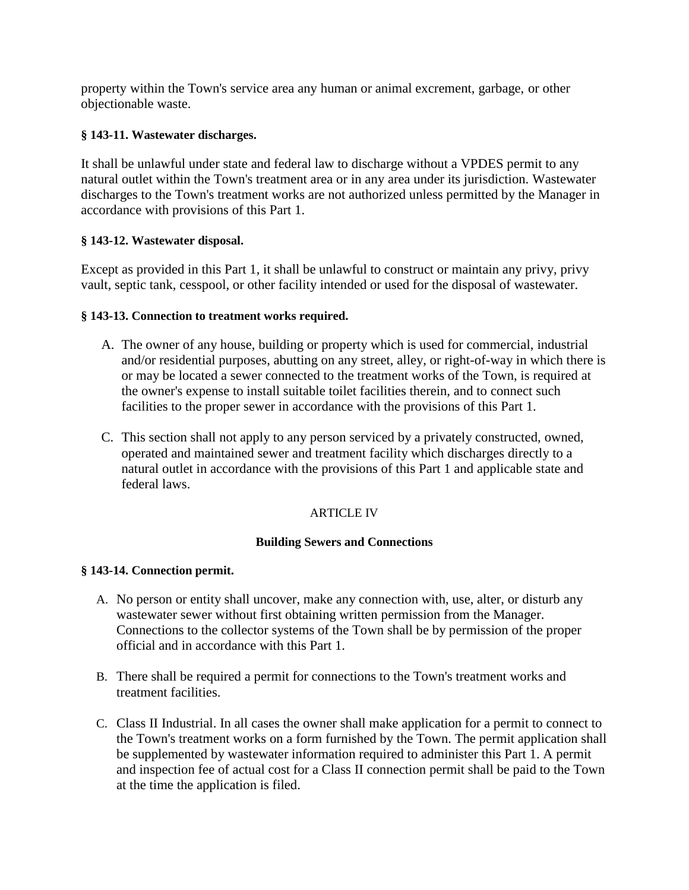property within the Town's service area any human or animal excrement, garbage, or other objectionable waste.

## **§ 143-11. Wastewater discharges.**

It shall be unlawful under state and federal law to discharge without a VPDES permit to any natural outlet within the Town's treatment area or in any area under its jurisdiction. Wastewater discharges to the Town's treatment works are not authorized unless permitted by the Manager in accordance with provisions of this Part 1.

## **§ 143-12. Wastewater disposal.**

Except as provided in this Part 1, it shall be unlawful to construct or maintain any privy, privy vault, septic tank, cesspool, or other facility intended or used for the disposal of wastewater.

## **§ 143-13. Connection to treatment works required.**

- A. The owner of any house, building or property which is used for commercial, industrial and/or residential purposes, abutting on any street, alley, or right-of-way in which there is or may be located a sewer connected to the treatment works of the Town, is required at the owner's expense to install suitable toilet facilities therein, and to connect such facilities to the proper sewer in accordance with the provisions of this Part 1.
- C. This section shall not apply to any person serviced by a privately constructed, owned, operated and maintained sewer and treatment facility which discharges directly to a natural outlet in accordance with the provisions of this Part 1 and applicable state and federal laws.

# ARTICLE IV

## **Building Sewers and Connections**

## **§ 143-14. Connection permit.**

- A. No person or entity shall uncover, make any connection with, use, alter, or disturb any wastewater sewer without first obtaining written permission from the Manager. Connections to the collector systems of the Town shall be by permission of the proper official and in accordance with this Part 1.
- B. There shall be required a permit for connections to the Town's treatment works and treatment facilities.
- C. Class II Industrial. In all cases the owner shall make application for a permit to connect to the Town's treatment works on a form furnished by the Town. The permit application shall be supplemented by wastewater information required to administer this Part 1. A permit and inspection fee of actual cost for a Class II connection permit shall be paid to the Town at the time the application is filed.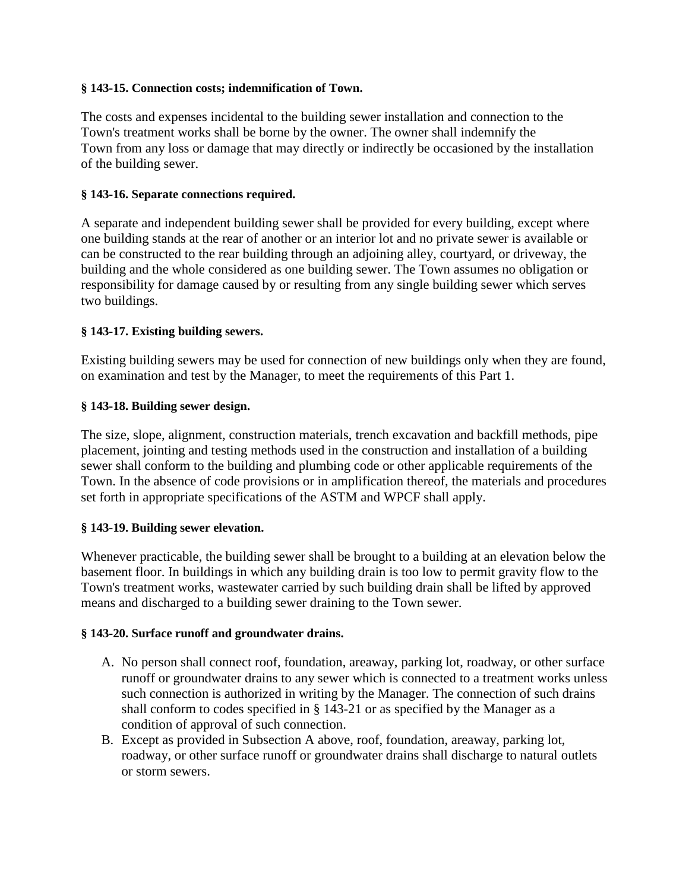### **§ 143-15. Connection costs; indemnification of Town.**

The costs and expenses incidental to the building sewer installation and connection to the Town's treatment works shall be borne by the owner. The owner shall indemnify the Town from any loss or damage that may directly or indirectly be occasioned by the installation of the building sewer.

### **§ 143-16. Separate connections required.**

A separate and independent building sewer shall be provided for every building, except where one building stands at the rear of another or an interior lot and no private sewer is available or can be constructed to the rear building through an adjoining alley, courtyard, or driveway, the building and the whole considered as one building sewer. The Town assumes no obligation or responsibility for damage caused by or resulting from any single building sewer which serves two buildings.

## **§ 143-17. Existing building sewers.**

Existing building sewers may be used for connection of new buildings only when they are found, on examination and test by the Manager, to meet the requirements of this Part 1.

### **§ 143-18. Building sewer design.**

The size, slope, alignment, construction materials, trench excavation and backfill methods, pipe placement, jointing and testing methods used in the construction and installation of a building sewer shall conform to the building and plumbing code or other applicable requirements of the Town. In the absence of code provisions or in amplification thereof, the materials and procedures set forth in appropriate specifications of the ASTM and WPCF shall apply.

### **§ 143-19. Building sewer elevation.**

Whenever practicable, the building sewer shall be brought to a building at an elevation below the basement floor. In buildings in which any building drain is too low to permit gravity flow to the Town's treatment works, wastewater carried by such building drain shall be lifted by approved means and discharged to a building sewer draining to the Town sewer.

### **§ 143-20. Surface runoff and groundwater drains.**

- A. No person shall connect roof, foundation, areaway, parking lot, roadway, or other surface runoff or groundwater drains to any sewer which is connected to a treatment works unless such connection is authorized in writing by the Manager. The connection of such drains shall conform to codes specified in § 143-21 or as specified by the Manager as a condition of approval of such connection.
- B. Except as provided in Subsection A above, roof, foundation, areaway, parking lot, roadway, or other surface runoff or groundwater drains shall discharge to natural outlets or storm sewers.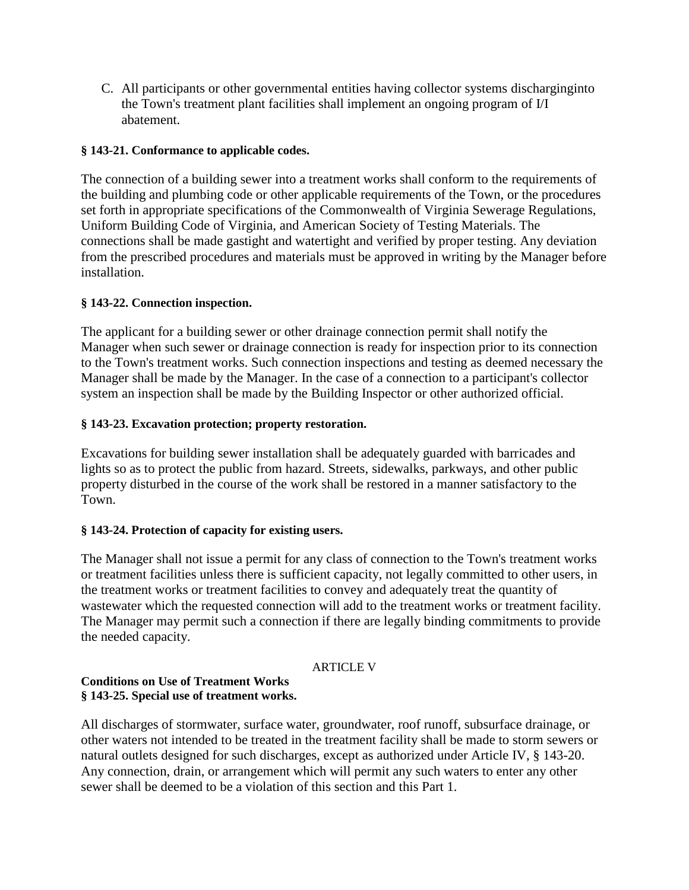C. All participants or other governmental entities having collector systems discharginginto the Town's treatment plant facilities shall implement an ongoing program of I/I abatement.

## **§ 143-21. Conformance to applicable codes.**

The connection of a building sewer into a treatment works shall conform to the requirements of the building and plumbing code or other applicable requirements of the Town, or the procedures set forth in appropriate specifications of the Commonwealth of Virginia Sewerage Regulations, Uniform Building Code of Virginia, and American Society of Testing Materials. The connections shall be made gastight and watertight and verified by proper testing. Any deviation from the prescribed procedures and materials must be approved in writing by the Manager before installation.

## **§ 143-22. Connection inspection.**

The applicant for a building sewer or other drainage connection permit shall notify the Manager when such sewer or drainage connection is ready for inspection prior to its connection to the Town's treatment works. Such connection inspections and testing as deemed necessary the Manager shall be made by the Manager. In the case of a connection to a participant's collector system an inspection shall be made by the Building Inspector or other authorized official.

## **§ 143-23. Excavation protection; property restoration.**

Excavations for building sewer installation shall be adequately guarded with barricades and lights so as to protect the public from hazard. Streets, sidewalks, parkways, and other public property disturbed in the course of the work shall be restored in a manner satisfactory to the Town.

## **§ 143-24. Protection of capacity for existing users.**

The Manager shall not issue a permit for any class of connection to the Town's treatment works or treatment facilities unless there is sufficient capacity, not legally committed to other users, in the treatment works or treatment facilities to convey and adequately treat the quantity of wastewater which the requested connection will add to the treatment works or treatment facility. The Manager may permit such a connection if there are legally binding commitments to provide the needed capacity.

## ARTICLE V

### **Conditions on Use of Treatment Works § 143-25. Special use of treatment works.**

All discharges of stormwater, surface water, groundwater, roof runoff, subsurface drainage, or other waters not intended to be treated in the treatment facility shall be made to storm sewers or natural outlets designed for such discharges, except as authorized under Article IV, § 143-20. Any connection, drain, or arrangement which will permit any such waters to enter any other sewer shall be deemed to be a violation of this section and this Part 1.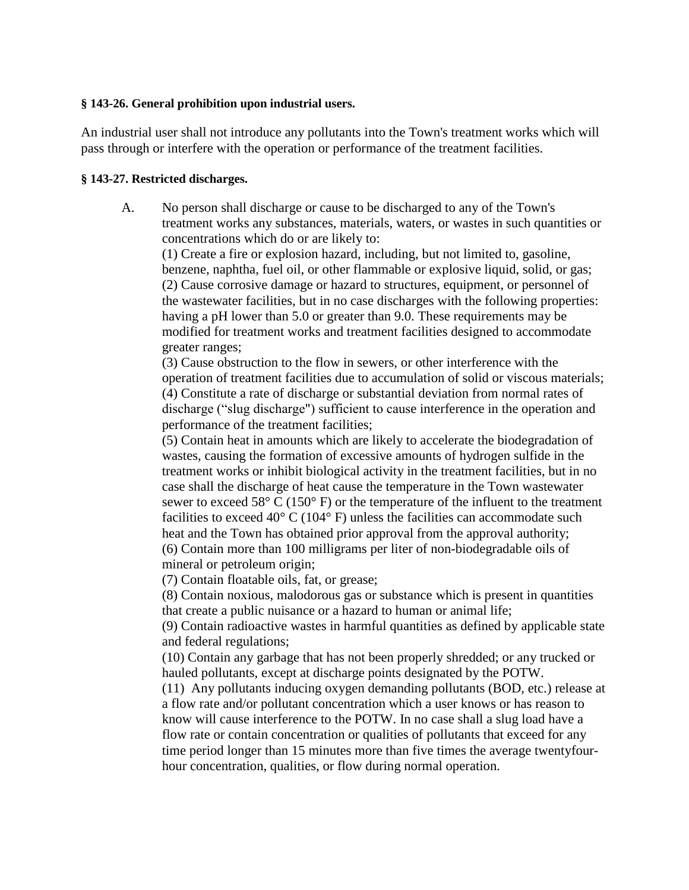#### **§ 143-26. General prohibition upon industrial users.**

An industrial user shall not introduce any pollutants into the Town's treatment works which will pass through or interfere with the operation or performance of the treatment facilities.

### **§ 143-27. Restricted discharges.**

A. No person shall discharge or cause to be discharged to any of the Town's treatment works any substances, materials, waters, or wastes in such quantities or concentrations which do or are likely to:

(1) Create a fire or explosion hazard, including, but not limited to, gasoline, benzene, naphtha, fuel oil, or other flammable or explosive liquid, solid, or gas; (2) Cause corrosive damage or hazard to structures, equipment, or personnel of the wastewater facilities, but in no case discharges with the following properties: having a pH lower than 5.0 or greater than 9.0. These requirements may be modified for treatment works and treatment facilities designed to accommodate greater ranges;

(3) Cause obstruction to the flow in sewers, or other interference with the operation of treatment facilities due to accumulation of solid or viscous materials; (4) Constitute a rate of discharge or substantial deviation from normal rates of discharge ("slug discharge") sufficient to cause interference in the operation and performance of the treatment facilities;

(5) Contain heat in amounts which are likely to accelerate the biodegradation of wastes, causing the formation of excessive amounts of hydrogen sulfide in the treatment works or inhibit biological activity in the treatment facilities, but in no case shall the discharge of heat cause the temperature in the Town wastewater sewer to exceed  $58^{\circ}$  C (150 $^{\circ}$  F) or the temperature of the influent to the treatment facilities to exceed 40 $\degree$  C (104 $\degree$  F) unless the facilities can accommodate such heat and the Town has obtained prior approval from the approval authority; (6) Contain more than 100 milligrams per liter of non-biodegradable oils of mineral or petroleum origin;

(7) Contain floatable oils, fat, or grease;

(8) Contain noxious, malodorous gas or substance which is present in quantities that create a public nuisance or a hazard to human or animal life;

(9) Contain radioactive wastes in harmful quantities as defined by applicable state and federal regulations;

(10) Contain any garbage that has not been properly shredded; or any trucked or hauled pollutants, except at discharge points designated by the POTW.

(11) Any pollutants inducing oxygen demanding pollutants (BOD, etc.) release at a flow rate and/or pollutant concentration which a user knows or has reason to know will cause interference to the POTW. In no case shall a slug load have a flow rate or contain concentration or qualities of pollutants that exceed for any time period longer than 15 minutes more than five times the average twentyfourhour concentration, qualities, or flow during normal operation.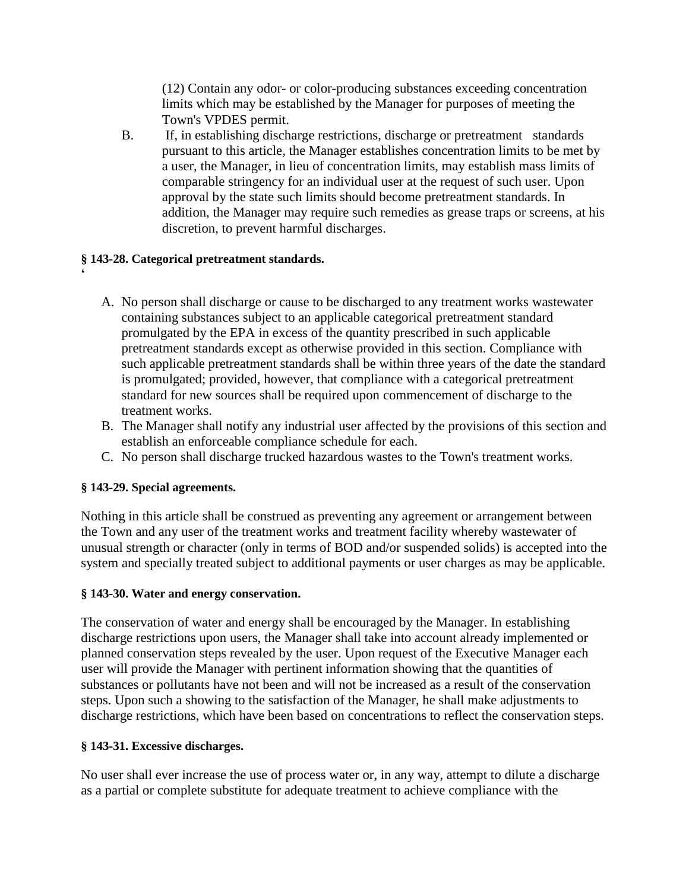(12) Contain any odor- or color-producing substances exceeding concentration limits which may be established by the Manager for purposes of meeting the Town's VPDES permit.

B. If, in establishing discharge restrictions, discharge or pretreatment standards pursuant to this article, the Manager establishes concentration limits to be met by a user, the Manager, in lieu of concentration limits, may establish mass limits of comparable stringency for an individual user at the request of such user. Upon approval by the state such limits should become pretreatment standards. In addition, the Manager may require such remedies as grease traps or screens, at his discretion, to prevent harmful discharges.

# **§ 143-28. Categorical pretreatment standards.**

- A. No person shall discharge or cause to be discharged to any treatment works wastewater containing substances subject to an applicable categorical pretreatment standard promulgated by the EPA in excess of the quantity prescribed in such applicable pretreatment standards except as otherwise provided in this section. Compliance with such applicable pretreatment standards shall be within three years of the date the standard is promulgated; provided, however, that compliance with a categorical pretreatment standard for new sources shall be required upon commencement of discharge to the treatment works.
- B. The Manager shall notify any industrial user affected by the provisions of this section and establish an enforceable compliance schedule for each.
- C. No person shall discharge trucked hazardous wastes to the Town's treatment works.

# **§ 143-29. Special agreements.**

**'**

Nothing in this article shall be construed as preventing any agreement or arrangement between the Town and any user of the treatment works and treatment facility whereby wastewater of unusual strength or character (only in terms of BOD and/or suspended solids) is accepted into the system and specially treated subject to additional payments or user charges as may be applicable.

# **§ 143-30. Water and energy conservation.**

The conservation of water and energy shall be encouraged by the Manager. In establishing discharge restrictions upon users, the Manager shall take into account already implemented or planned conservation steps revealed by the user. Upon request of the Executive Manager each user will provide the Manager with pertinent information showing that the quantities of substances or pollutants have not been and will not be increased as a result of the conservation steps. Upon such a showing to the satisfaction of the Manager, he shall make adjustments to discharge restrictions, which have been based on concentrations to reflect the conservation steps.

# **§ 143-31. Excessive discharges.**

No user shall ever increase the use of process water or, in any way, attempt to dilute a discharge as a partial or complete substitute for adequate treatment to achieve compliance with the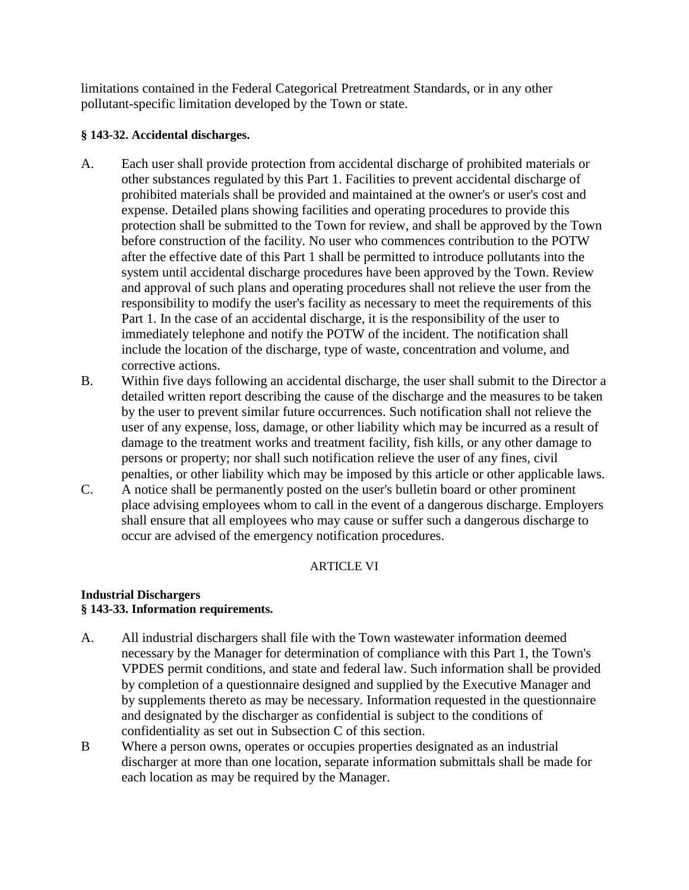limitations contained in the Federal Categorical Pretreatment Standards, or in any other pollutant-specific limitation developed by the Town or state.

## **§ 143-32. Accidental discharges.**

- A. Each user shall provide protection from accidental discharge of prohibited materials or other substances regulated by this Part 1. Facilities to prevent accidental discharge of prohibited materials shall be provided and maintained at the owner's or user's cost and expense. Detailed plans showing facilities and operating procedures to provide this protection shall be submitted to the Town for review, and shall be approved by the Town before construction of the facility. No user who commences contribution to the POTW after the effective date of this Part 1 shall be permitted to introduce pollutants into the system until accidental discharge procedures have been approved by the Town. Review and approval of such plans and operating procedures shall not relieve the user from the responsibility to modify the user's facility as necessary to meet the requirements of this Part 1. In the case of an accidental discharge, it is the responsibility of the user to immediately telephone and notify the POTW of the incident. The notification shall include the location of the discharge, type of waste, concentration and volume, and corrective actions.
- B. Within five days following an accidental discharge, the user shall submit to the Director a detailed written report describing the cause of the discharge and the measures to be taken by the user to prevent similar future occurrences. Such notification shall not relieve the user of any expense, loss, damage, or other liability which may be incurred as a result of damage to the treatment works and treatment facility, fish kills, or any other damage to persons or property; nor shall such notification relieve the user of any fines, civil penalties, or other liability which may be imposed by this article or other applicable laws.
- C. A notice shall be permanently posted on the user's bulletin board or other prominent place advising employees whom to call in the event of a dangerous discharge. Employers shall ensure that all employees who may cause or suffer such a dangerous discharge to occur are advised of the emergency notification procedures.

# ARTICLE VI

## **Industrial Dischargers § 143-33. Information requirements.**

- A. All industrial dischargers shall file with the Town wastewater information deemed necessary by the Manager for determination of compliance with this Part 1, the Town's VPDES permit conditions, and state and federal law. Such information shall be provided by completion of a questionnaire designed and supplied by the Executive Manager and by supplements thereto as may be necessary. Information requested in the questionnaire and designated by the discharger as confidential is subject to the conditions of confidentiality as set out in Subsection C of this section.
- B Where a person owns, operates or occupies properties designated as an industrial discharger at more than one location, separate information submittals shall be made for each location as may be required by the Manager.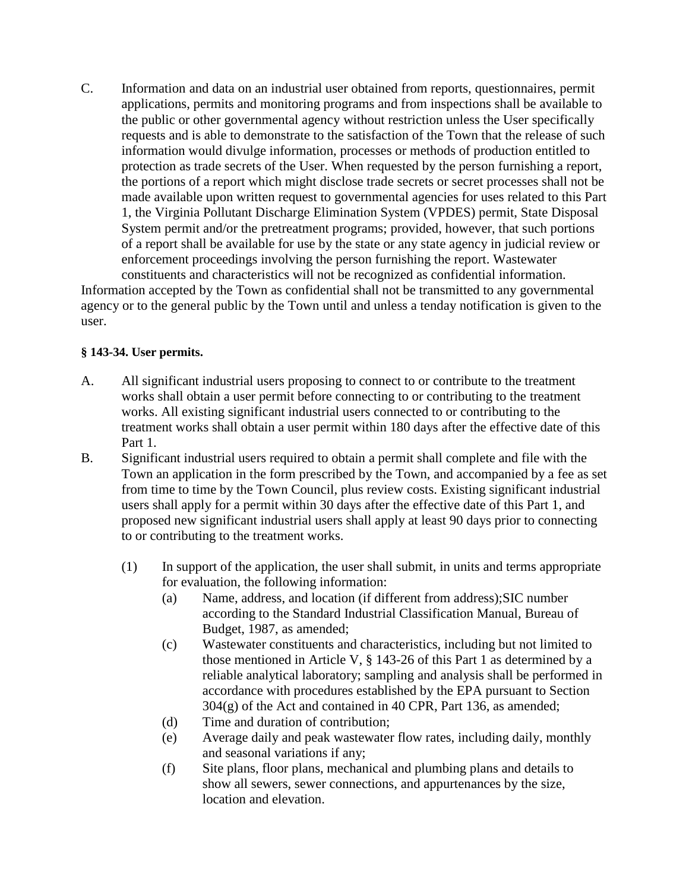C. Information and data on an industrial user obtained from reports, questionnaires, permit applications, permits and monitoring programs and from inspections shall be available to the public or other governmental agency without restriction unless the User specifically requests and is able to demonstrate to the satisfaction of the Town that the release of such information would divulge information, processes or methods of production entitled to protection as trade secrets of the User. When requested by the person furnishing a report, the portions of a report which might disclose trade secrets or secret processes shall not be made available upon written request to governmental agencies for uses related to this Part 1, the Virginia Pollutant Discharge Elimination System (VPDES) permit, State Disposal System permit and/or the pretreatment programs; provided, however, that such portions of a report shall be available for use by the state or any state agency in judicial review or enforcement proceedings involving the person furnishing the report. Wastewater constituents and characteristics will not be recognized as confidential information.

Information accepted by the Town as confidential shall not be transmitted to any governmental agency or to the general public by the Town until and unless a tenday notification is given to the user.

## **§ 143-34. User permits.**

- A. All significant industrial users proposing to connect to or contribute to the treatment works shall obtain a user permit before connecting to or contributing to the treatment works. All existing significant industrial users connected to or contributing to the treatment works shall obtain a user permit within 180 days after the effective date of this Part 1.
- B. Significant industrial users required to obtain a permit shall complete and file with the Town an application in the form prescribed by the Town, and accompanied by a fee as set from time to time by the Town Council, plus review costs. Existing significant industrial users shall apply for a permit within 30 days after the effective date of this Part 1, and proposed new significant industrial users shall apply at least 90 days prior to connecting to or contributing to the treatment works.
	- (1) In support of the application, the user shall submit, in units and terms appropriate for evaluation, the following information:
		- (a) Name, address, and location (if different from address);SIC number according to the Standard Industrial Classification Manual, Bureau of Budget, 1987, as amended;
		- (c) Wastewater constituents and characteristics, including but not limited to those mentioned in Article V, § 143-26 of this Part 1 as determined by a reliable analytical laboratory; sampling and analysis shall be performed in accordance with procedures established by the EPA pursuant to Section 304(g) of the Act and contained in 40 CPR, Part 136, as amended;
		- (d) Time and duration of contribution;
		- (e) Average daily and peak wastewater flow rates, including daily, monthly and seasonal variations if any;
		- (f) Site plans, floor plans, mechanical and plumbing plans and details to show all sewers, sewer connections, and appurtenances by the size, location and elevation.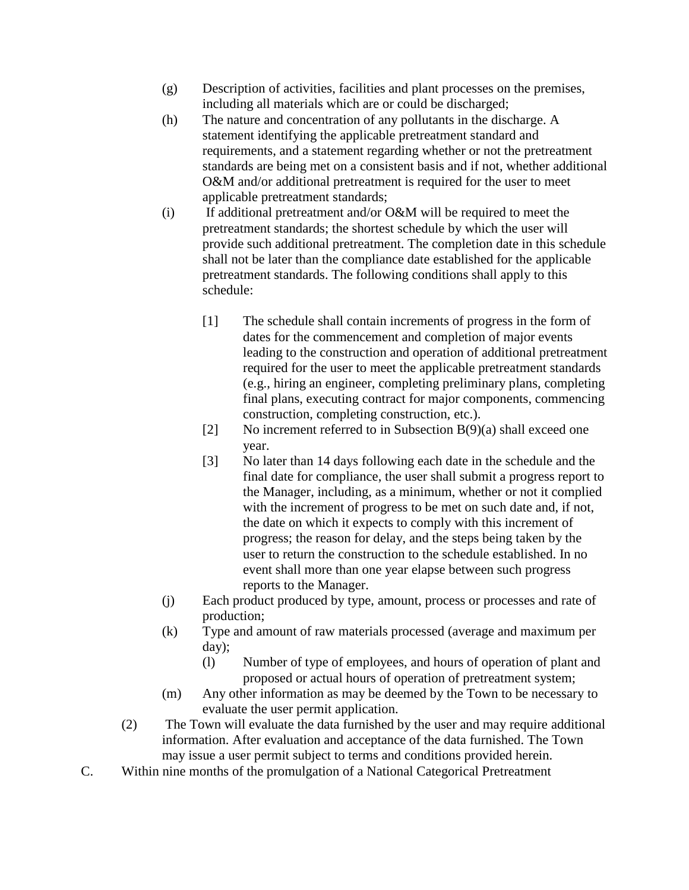- (g) Description of activities, facilities and plant processes on the premises, including all materials which are or could be discharged;
- (h) The nature and concentration of any pollutants in the discharge. A statement identifying the applicable pretreatment standard and requirements, and a statement regarding whether or not the pretreatment standards are being met on a consistent basis and if not, whether additional O&M and/or additional pretreatment is required for the user to meet applicable pretreatment standards;
- (i) If additional pretreatment and/or O&M will be required to meet the pretreatment standards; the shortest schedule by which the user will provide such additional pretreatment. The completion date in this schedule shall not be later than the compliance date established for the applicable pretreatment standards. The following conditions shall apply to this schedule:
	- [1] The schedule shall contain increments of progress in the form of dates for the commencement and completion of major events leading to the construction and operation of additional pretreatment required for the user to meet the applicable pretreatment standards (e.g., hiring an engineer, completing preliminary plans, completing final plans, executing contract for major components, commencing construction, completing construction, etc.).
	- [2] No increment referred to in Subsection B(9)(a) shall exceed one year.
	- [3] No later than 14 days following each date in the schedule and the final date for compliance, the user shall submit a progress report to the Manager, including, as a minimum, whether or not it complied with the increment of progress to be met on such date and, if not, the date on which it expects to comply with this increment of progress; the reason for delay, and the steps being taken by the user to return the construction to the schedule established. In no event shall more than one year elapse between such progress reports to the Manager.
- (j) Each product produced by type, amount, process or processes and rate of production;
- (k) Type and amount of raw materials processed (average and maximum per day);
	- (l) Number of type of employees, and hours of operation of plant and proposed or actual hours of operation of pretreatment system;
- (m) Any other information as may be deemed by the Town to be necessary to evaluate the user permit application.
- (2) The Town will evaluate the data furnished by the user and may require additional information. After evaluation and acceptance of the data furnished. The Town may issue a user permit subject to terms and conditions provided herein.
- C. Within nine months of the promulgation of a National Categorical Pretreatment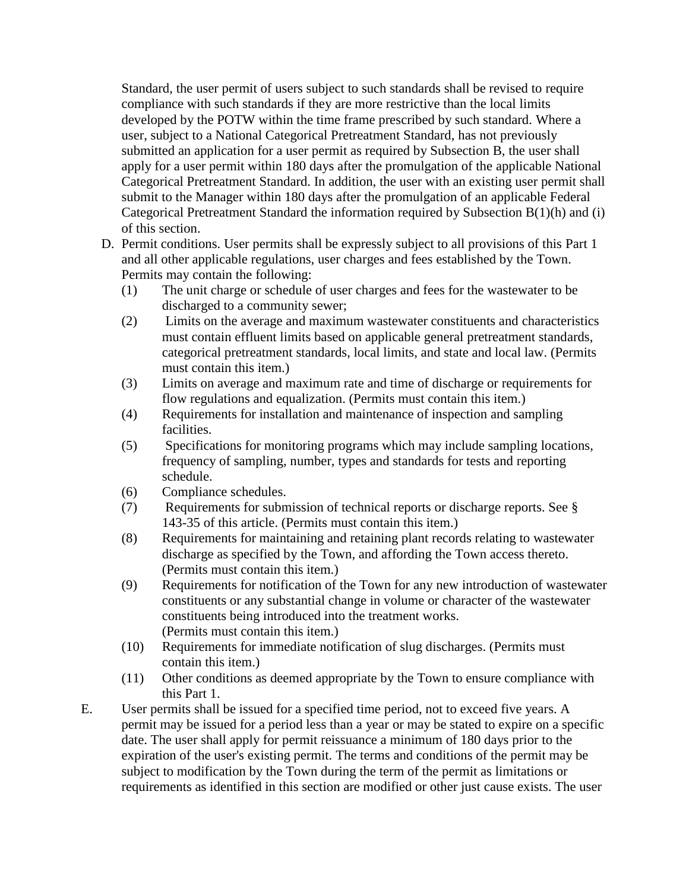Standard, the user permit of users subject to such standards shall be revised to require compliance with such standards if they are more restrictive than the local limits developed by the POTW within the time frame prescribed by such standard. Where a user, subject to a National Categorical Pretreatment Standard, has not previously submitted an application for a user permit as required by Subsection B, the user shall apply for a user permit within 180 days after the promulgation of the applicable National Categorical Pretreatment Standard. In addition, the user with an existing user permit shall submit to the Manager within 180 days after the promulgation of an applicable Federal Categorical Pretreatment Standard the information required by Subsection B(1)(h) and (i) of this section.

- D. Permit conditions. User permits shall be expressly subject to all provisions of this Part 1 and all other applicable regulations, user charges and fees established by the Town. Permits may contain the following:
	- (1) The unit charge or schedule of user charges and fees for the wastewater to be discharged to a community sewer;
	- (2) Limits on the average and maximum wastewater constituents and characteristics must contain effluent limits based on applicable general pretreatment standards, categorical pretreatment standards, local limits, and state and local law. (Permits must contain this item.)
	- (3) Limits on average and maximum rate and time of discharge or requirements for flow regulations and equalization. (Permits must contain this item.)
	- (4) Requirements for installation and maintenance of inspection and sampling facilities.
	- (5) Specifications for monitoring programs which may include sampling locations, frequency of sampling, number, types and standards for tests and reporting schedule.
	- (6) Compliance schedules.
	- (7) Requirements for submission of technical reports or discharge reports. See § 143-35 of this article. (Permits must contain this item.)
	- (8) Requirements for maintaining and retaining plant records relating to wastewater discharge as specified by the Town, and affording the Town access thereto. (Permits must contain this item.)
	- (9) Requirements for notification of the Town for any new introduction of wastewater constituents or any substantial change in volume or character of the wastewater constituents being introduced into the treatment works. (Permits must contain this item.)
	- (10) Requirements for immediate notification of slug discharges. (Permits must contain this item.)
	- (11) Other conditions as deemed appropriate by the Town to ensure compliance with this Part 1.
- E. User permits shall be issued for a specified time period, not to exceed five years. A permit may be issued for a period less than a year or may be stated to expire on a specific date. The user shall apply for permit reissuance a minimum of 180 days prior to the expiration of the user's existing permit. The terms and conditions of the permit may be subject to modification by the Town during the term of the permit as limitations or requirements as identified in this section are modified or other just cause exists. The user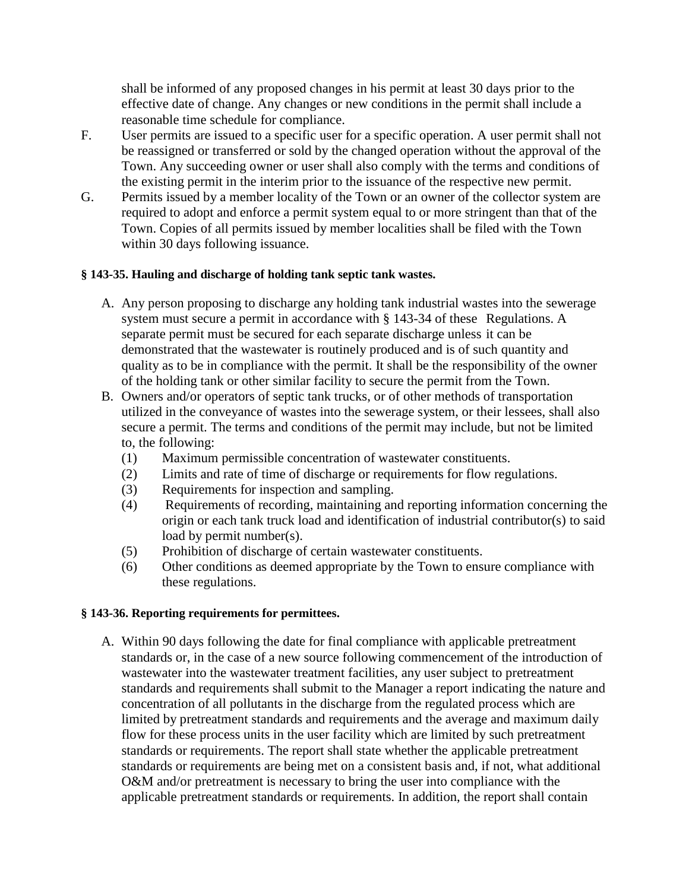shall be informed of any proposed changes in his permit at least 30 days prior to the effective date of change. Any changes or new conditions in the permit shall include a reasonable time schedule for compliance.

- F. User permits are issued to a specific user for a specific operation. A user permit shall not be reassigned or transferred or sold by the changed operation without the approval of the Town. Any succeeding owner or user shall also comply with the terms and conditions of the existing permit in the interim prior to the issuance of the respective new permit.
- G. Permits issued by a member locality of the Town or an owner of the collector system are required to adopt and enforce a permit system equal to or more stringent than that of the Town. Copies of all permits issued by member localities shall be filed with the Town within 30 days following issuance.

## **§ 143-35. Hauling and discharge of holding tank septic tank wastes.**

- A. Any person proposing to discharge any holding tank industrial wastes into the sewerage system must secure a permit in accordance with § 143-34 of these Regulations. A separate permit must be secured for each separate discharge unless it can be demonstrated that the wastewater is routinely produced and is of such quantity and quality as to be in compliance with the permit. It shall be the responsibility of the owner of the holding tank or other similar facility to secure the permit from the Town.
- B. Owners and/or operators of septic tank trucks, or of other methods of transportation utilized in the conveyance of wastes into the sewerage system, or their lessees, shall also secure a permit. The terms and conditions of the permit may include, but not be limited to, the following:
	- (1) Maximum permissible concentration of wastewater constituents.
	- (2) Limits and rate of time of discharge or requirements for flow regulations.
	- (3) Requirements for inspection and sampling.
	- (4) Requirements of recording, maintaining and reporting information concerning the origin or each tank truck load and identification of industrial contributor(s) to said load by permit number(s).
	- (5) Prohibition of discharge of certain wastewater constituents.
	- (6) Other conditions as deemed appropriate by the Town to ensure compliance with these regulations.

## **§ 143-36. Reporting requirements for permittees.**

A. Within 90 days following the date for final compliance with applicable pretreatment standards or, in the case of a new source following commencement of the introduction of wastewater into the wastewater treatment facilities, any user subject to pretreatment standards and requirements shall submit to the Manager a report indicating the nature and concentration of all pollutants in the discharge from the regulated process which are limited by pretreatment standards and requirements and the average and maximum daily flow for these process units in the user facility which are limited by such pretreatment standards or requirements. The report shall state whether the applicable pretreatment standards or requirements are being met on a consistent basis and, if not, what additional O&M and/or pretreatment is necessary to bring the user into compliance with the applicable pretreatment standards or requirements. In addition, the report shall contain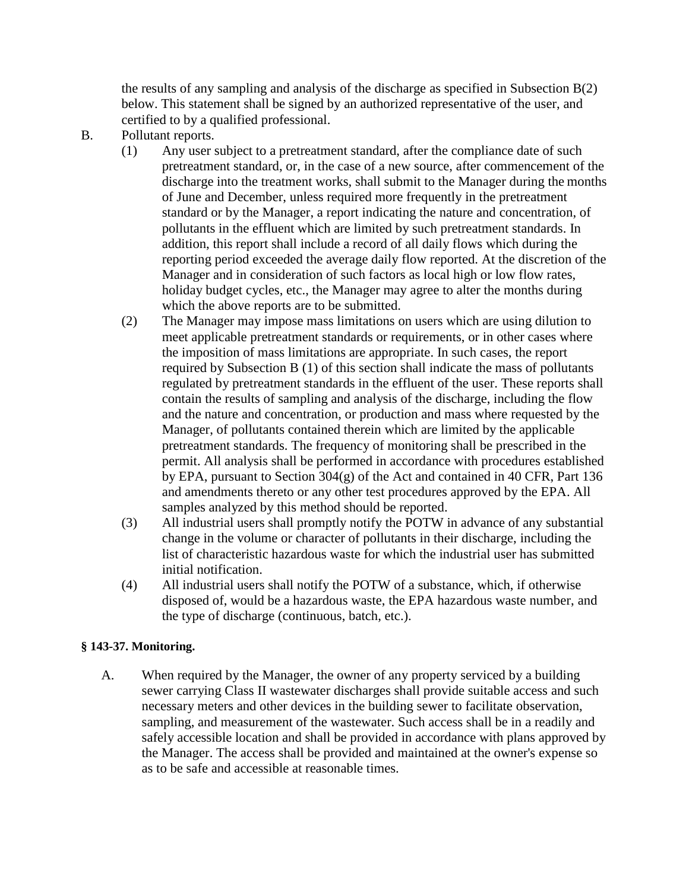the results of any sampling and analysis of the discharge as specified in Subsection B(2) below. This statement shall be signed by an authorized representative of the user, and certified to by a qualified professional.

- B. Pollutant reports.
	- (1) Any user subject to a pretreatment standard, after the compliance date of such pretreatment standard, or, in the case of a new source, after commencement of the discharge into the treatment works, shall submit to the Manager during the months of June and December, unless required more frequently in the pretreatment standard or by the Manager, a report indicating the nature and concentration, of pollutants in the effluent which are limited by such pretreatment standards. In addition, this report shall include a record of all daily flows which during the reporting period exceeded the average daily flow reported. At the discretion of the Manager and in consideration of such factors as local high or low flow rates, holiday budget cycles, etc., the Manager may agree to alter the months during which the above reports are to be submitted.
	- (2) The Manager may impose mass limitations on users which are using dilution to meet applicable pretreatment standards or requirements, or in other cases where the imposition of mass limitations are appropriate. In such cases, the report required by Subsection B (1) of this section shall indicate the mass of pollutants regulated by pretreatment standards in the effluent of the user. These reports shall contain the results of sampling and analysis of the discharge, including the flow and the nature and concentration, or production and mass where requested by the Manager, of pollutants contained therein which are limited by the applicable pretreatment standards. The frequency of monitoring shall be prescribed in the permit. All analysis shall be performed in accordance with procedures established by EPA, pursuant to Section 304(g) of the Act and contained in 40 CFR, Part 136 and amendments thereto or any other test procedures approved by the EPA. All samples analyzed by this method should be reported.
	- (3) All industrial users shall promptly notify the POTW in advance of any substantial change in the volume or character of pollutants in their discharge, including the list of characteristic hazardous waste for which the industrial user has submitted initial notification.
	- (4) All industrial users shall notify the POTW of a substance, which, if otherwise disposed of, would be a hazardous waste, the EPA hazardous waste number, and the type of discharge (continuous, batch, etc.).

# **§ 143-37. Monitoring.**

A. When required by the Manager, the owner of any property serviced by a building sewer carrying Class II wastewater discharges shall provide suitable access and such necessary meters and other devices in the building sewer to facilitate observation, sampling, and measurement of the wastewater. Such access shall be in a readily and safely accessible location and shall be provided in accordance with plans approved by the Manager. The access shall be provided and maintained at the owner's expense so as to be safe and accessible at reasonable times.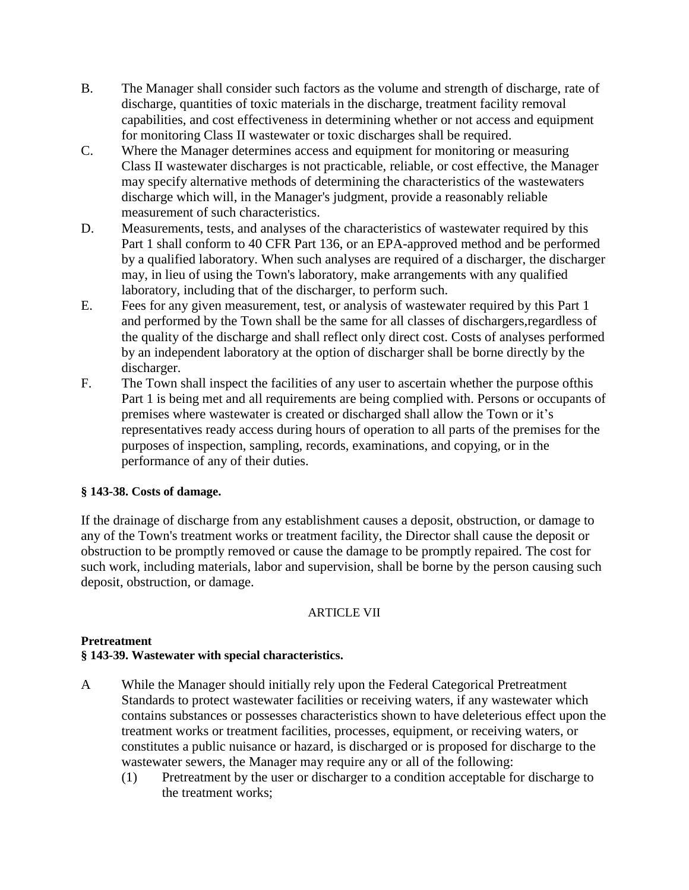- B. The Manager shall consider such factors as the volume and strength of discharge, rate of discharge, quantities of toxic materials in the discharge, treatment facility removal capabilities, and cost effectiveness in determining whether or not access and equipment for monitoring Class II wastewater or toxic discharges shall be required.
- C. Where the Manager determines access and equipment for monitoring or measuring Class II wastewater discharges is not practicable, reliable, or cost effective, the Manager may specify alternative methods of determining the characteristics of the wastewaters discharge which will, in the Manager's judgment, provide a reasonably reliable measurement of such characteristics.
- D. Measurements, tests, and analyses of the characteristics of wastewater required by this Part 1 shall conform to 40 CFR Part 136, or an EPA-approved method and be performed by a qualified laboratory. When such analyses are required of a discharger, the discharger may, in lieu of using the Town's laboratory, make arrangements with any qualified laboratory, including that of the discharger, to perform such.
- E. Fees for any given measurement, test, or analysis of wastewater required by this Part 1 and performed by the Town shall be the same for all classes of dischargers,regardless of the quality of the discharge and shall reflect only direct cost. Costs of analyses performed by an independent laboratory at the option of discharger shall be borne directly by the discharger.
- F. The Town shall inspect the facilities of any user to ascertain whether the purpose ofthis Part 1 is being met and all requirements are being complied with. Persons or occupants of premises where wastewater is created or discharged shall allow the Town or it's representatives ready access during hours of operation to all parts of the premises for the purposes of inspection, sampling, records, examinations, and copying, or in the performance of any of their duties.

## **§ 143-38. Costs of damage.**

If the drainage of discharge from any establishment causes a deposit, obstruction, or damage to any of the Town's treatment works or treatment facility, the Director shall cause the deposit or obstruction to be promptly removed or cause the damage to be promptly repaired. The cost for such work, including materials, labor and supervision, shall be borne by the person causing such deposit, obstruction, or damage.

# ARTICLE VII

## **Pretreatment**

# **§ 143-39. Wastewater with special characteristics.**

- A While the Manager should initially rely upon the Federal Categorical Pretreatment Standards to protect wastewater facilities or receiving waters, if any wastewater which contains substances or possesses characteristics shown to have deleterious effect upon the treatment works or treatment facilities, processes, equipment, or receiving waters, or constitutes a public nuisance or hazard, is discharged or is proposed for discharge to the wastewater sewers, the Manager may require any or all of the following:
	- (1) Pretreatment by the user or discharger to a condition acceptable for discharge to the treatment works;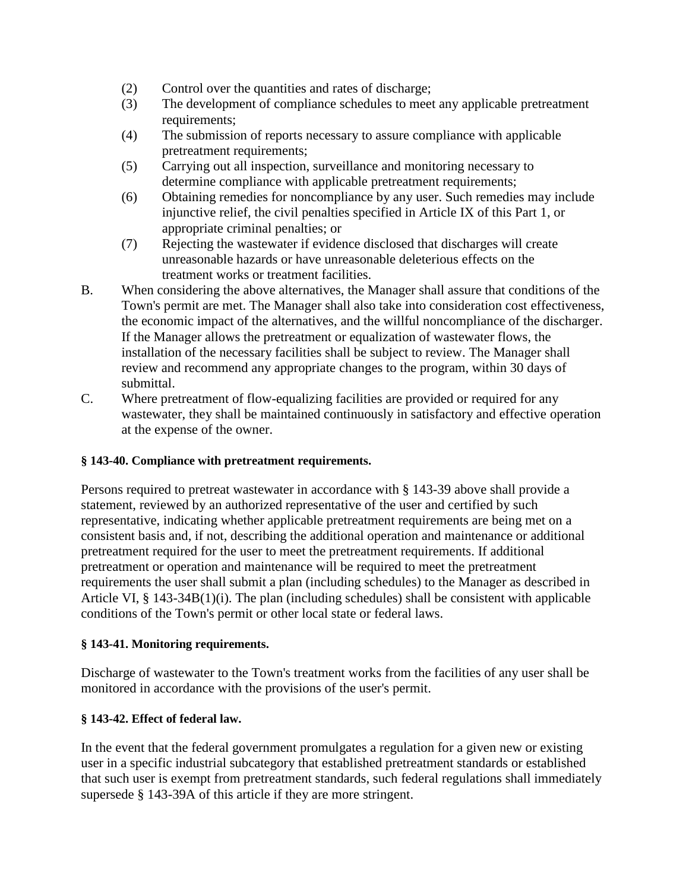- (2) Control over the quantities and rates of discharge;
- (3) The development of compliance schedules to meet any applicable pretreatment requirements;
- (4) The submission of reports necessary to assure compliance with applicable pretreatment requirements;
- (5) Carrying out all inspection, surveillance and monitoring necessary to determine compliance with applicable pretreatment requirements;
- (6) Obtaining remedies for noncompliance by any user. Such remedies may include injunctive relief, the civil penalties specified in Article IX of this Part 1, or appropriate criminal penalties; or
- (7) Rejecting the wastewater if evidence disclosed that discharges will create unreasonable hazards or have unreasonable deleterious effects on the treatment works or treatment facilities.
- B. When considering the above alternatives, the Manager shall assure that conditions of the Town's permit are met. The Manager shall also take into consideration cost effectiveness, the economic impact of the alternatives, and the willful noncompliance of the discharger. If the Manager allows the pretreatment or equalization of wastewater flows, the installation of the necessary facilities shall be subject to review. The Manager shall review and recommend any appropriate changes to the program, within 30 days of submittal.
- C. Where pretreatment of flow-equalizing facilities are provided or required for any wastewater, they shall be maintained continuously in satisfactory and effective operation at the expense of the owner.

# **§ 143-40. Compliance with pretreatment requirements.**

Persons required to pretreat wastewater in accordance with § 143-39 above shall provide a statement, reviewed by an authorized representative of the user and certified by such representative, indicating whether applicable pretreatment requirements are being met on a consistent basis and, if not, describing the additional operation and maintenance or additional pretreatment required for the user to meet the pretreatment requirements. If additional pretreatment or operation and maintenance will be required to meet the pretreatment requirements the user shall submit a plan (including schedules) to the Manager as described in Article VI, § 143-34B(1)(i). The plan (including schedules) shall be consistent with applicable conditions of the Town's permit or other local state or federal laws.

# **§ 143-41. Monitoring requirements.**

Discharge of wastewater to the Town's treatment works from the facilities of any user shall be monitored in accordance with the provisions of the user's permit.

# **§ 143-42. Effect of federal law.**

In the event that the federal government promulgates a regulation for a given new or existing user in a specific industrial subcategory that established pretreatment standards or established that such user is exempt from pretreatment standards, such federal regulations shall immediately supersede § 143-39A of this article if they are more stringent.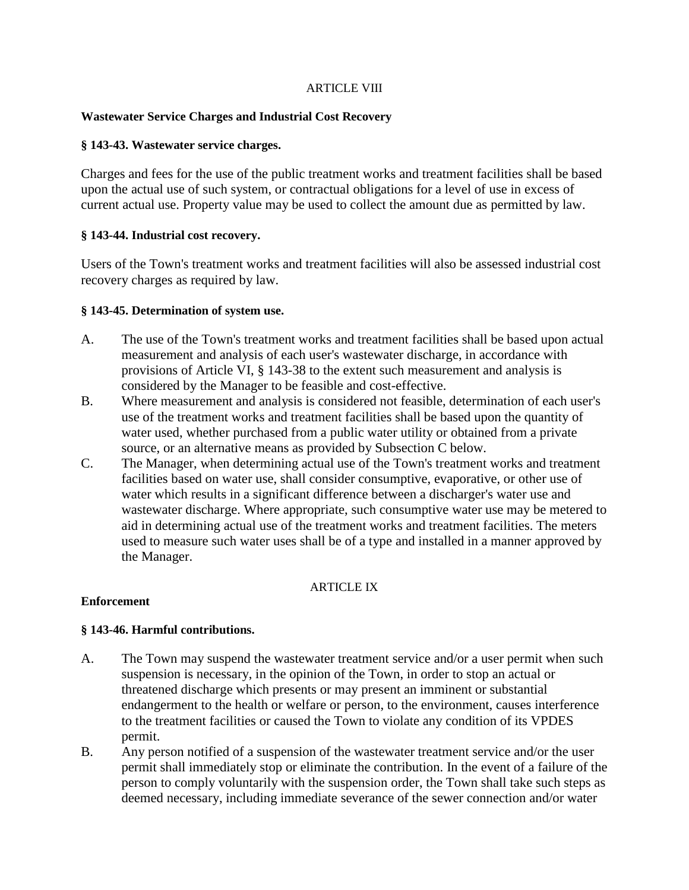### ARTICLE VIII

### **Wastewater Service Charges and Industrial Cost Recovery**

### **§ 143-43. Wastewater service charges.**

Charges and fees for the use of the public treatment works and treatment facilities shall be based upon the actual use of such system, or contractual obligations for a level of use in excess of current actual use. Property value may be used to collect the amount due as permitted by law.

### **§ 143-44. Industrial cost recovery.**

Users of the Town's treatment works and treatment facilities will also be assessed industrial cost recovery charges as required by law.

### **§ 143-45. Determination of system use.**

- A. The use of the Town's treatment works and treatment facilities shall be based upon actual measurement and analysis of each user's wastewater discharge, in accordance with provisions of Article VI, § 143-38 to the extent such measurement and analysis is considered by the Manager to be feasible and cost-effective.
- B. Where measurement and analysis is considered not feasible, determination of each user's use of the treatment works and treatment facilities shall be based upon the quantity of water used, whether purchased from a public water utility or obtained from a private source, or an alternative means as provided by Subsection C below.
- C. The Manager, when determining actual use of the Town's treatment works and treatment facilities based on water use, shall consider consumptive, evaporative, or other use of water which results in a significant difference between a discharger's water use and wastewater discharge. Where appropriate, such consumptive water use may be metered to aid in determining actual use of the treatment works and treatment facilities. The meters used to measure such water uses shall be of a type and installed in a manner approved by the Manager.

## ARTICLE IX

### **Enforcement**

## **§ 143-46. Harmful contributions.**

- A. The Town may suspend the wastewater treatment service and/or a user permit when such suspension is necessary, in the opinion of the Town, in order to stop an actual or threatened discharge which presents or may present an imminent or substantial endangerment to the health or welfare or person, to the environment, causes interference to the treatment facilities or caused the Town to violate any condition of its VPDES permit.
- B. Any person notified of a suspension of the wastewater treatment service and/or the user permit shall immediately stop or eliminate the contribution. In the event of a failure of the person to comply voluntarily with the suspension order, the Town shall take such steps as deemed necessary, including immediate severance of the sewer connection and/or water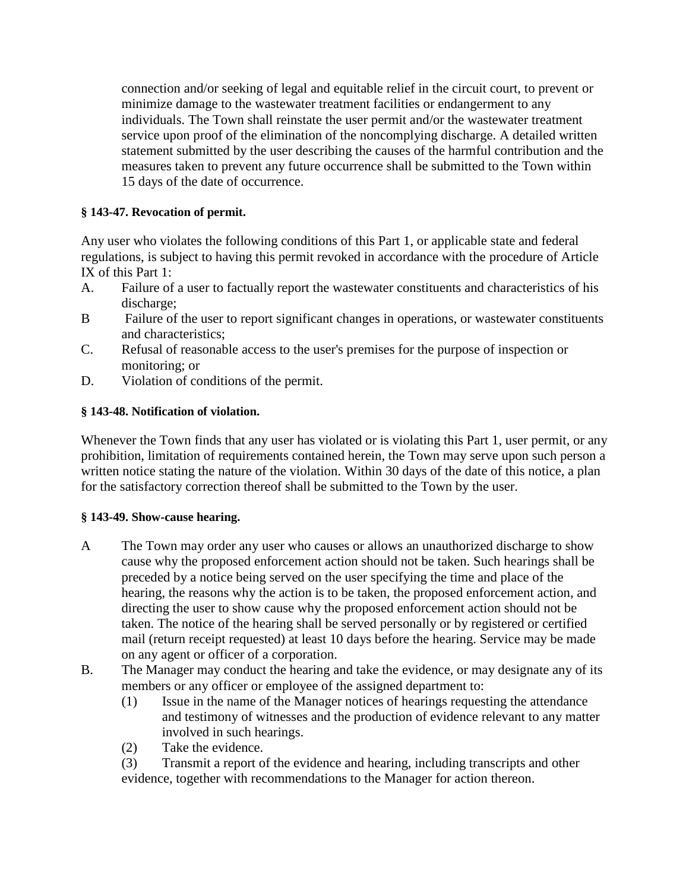connection and/or seeking of legal and equitable relief in the circuit court, to prevent or minimize damage to the wastewater treatment facilities or endangerment to any individuals. The Town shall reinstate the user permit and/or the wastewater treatment service upon proof of the elimination of the noncomplying discharge. A detailed written statement submitted by the user describing the causes of the harmful contribution and the measures taken to prevent any future occurrence shall be submitted to the Town within 15 days of the date of occurrence.

## **§ 143-47. Revocation of permit.**

Any user who violates the following conditions of this Part 1, or applicable state and federal regulations, is subject to having this permit revoked in accordance with the procedure of Article IX of this Part 1:

- A. Failure of a user to factually report the wastewater constituents and characteristics of his discharge;
- B Failure of the user to report significant changes in operations, or wastewater constituents and characteristics;
- C. Refusal of reasonable access to the user's premises for the purpose of inspection or monitoring; or
- D. Violation of conditions of the permit.

# **§ 143-48. Notification of violation.**

Whenever the Town finds that any user has violated or is violating this Part 1, user permit, or any prohibition, limitation of requirements contained herein, the Town may serve upon such person a written notice stating the nature of the violation. Within 30 days of the date of this notice, a plan for the satisfactory correction thereof shall be submitted to the Town by the user.

# **§ 143-49. Show-cause hearing.**

- A The Town may order any user who causes or allows an unauthorized discharge to show cause why the proposed enforcement action should not be taken. Such hearings shall be preceded by a notice being served on the user specifying the time and place of the hearing, the reasons why the action is to be taken, the proposed enforcement action, and directing the user to show cause why the proposed enforcement action should not be taken. The notice of the hearing shall be served personally or by registered or certified mail (return receipt requested) at least 10 days before the hearing. Service may be made on any agent or officer of a corporation.
- B. The Manager may conduct the hearing and take the evidence, or may designate any of its members or any officer or employee of the assigned department to:
	- (1) Issue in the name of the Manager notices of hearings requesting the attendance and testimony of witnesses and the production of evidence relevant to any matter involved in such hearings.
	- (2) Take the evidence.

(3) Transmit a report of the evidence and hearing, including transcripts and other evidence, together with recommendations to the Manager for action thereon.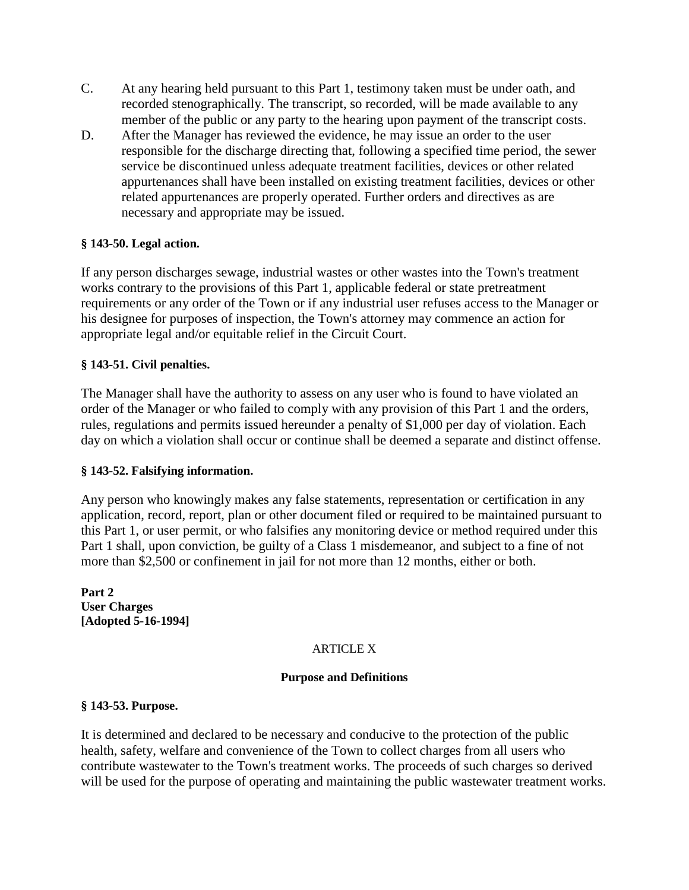- C. At any hearing held pursuant to this Part 1, testimony taken must be under oath, and recorded stenographically. The transcript, so recorded, will be made available to any member of the public or any party to the hearing upon payment of the transcript costs.
- D. After the Manager has reviewed the evidence, he may issue an order to the user responsible for the discharge directing that, following a specified time period, the sewer service be discontinued unless adequate treatment facilities, devices or other related appurtenances shall have been installed on existing treatment facilities, devices or other related appurtenances are properly operated. Further orders and directives as are necessary and appropriate may be issued.

## **§ 143-50. Legal action.**

If any person discharges sewage, industrial wastes or other wastes into the Town's treatment works contrary to the provisions of this Part 1, applicable federal or state pretreatment requirements or any order of the Town or if any industrial user refuses access to the Manager or his designee for purposes of inspection, the Town's attorney may commence an action for appropriate legal and/or equitable relief in the Circuit Court.

## **§ 143-51. Civil penalties.**

The Manager shall have the authority to assess on any user who is found to have violated an order of the Manager or who failed to comply with any provision of this Part 1 and the orders, rules, regulations and permits issued hereunder a penalty of \$1,000 per day of violation. Each day on which a violation shall occur or continue shall be deemed a separate and distinct offense.

## **§ 143-52. Falsifying information.**

Any person who knowingly makes any false statements, representation or certification in any application, record, report, plan or other document filed or required to be maintained pursuant to this Part 1, or user permit, or who falsifies any monitoring device or method required under this Part 1 shall, upon conviction, be guilty of a Class 1 misdemeanor, and subject to a fine of not more than \$2,500 or confinement in jail for not more than 12 months, either or both.

**Part 2 User Charges [Adopted 5-16-1994]**

# ARTICLE X

## **Purpose and Definitions**

### **§ 143-53. Purpose.**

It is determined and declared to be necessary and conducive to the protection of the public health, safety, welfare and convenience of the Town to collect charges from all users who contribute wastewater to the Town's treatment works. The proceeds of such charges so derived will be used for the purpose of operating and maintaining the public wastewater treatment works.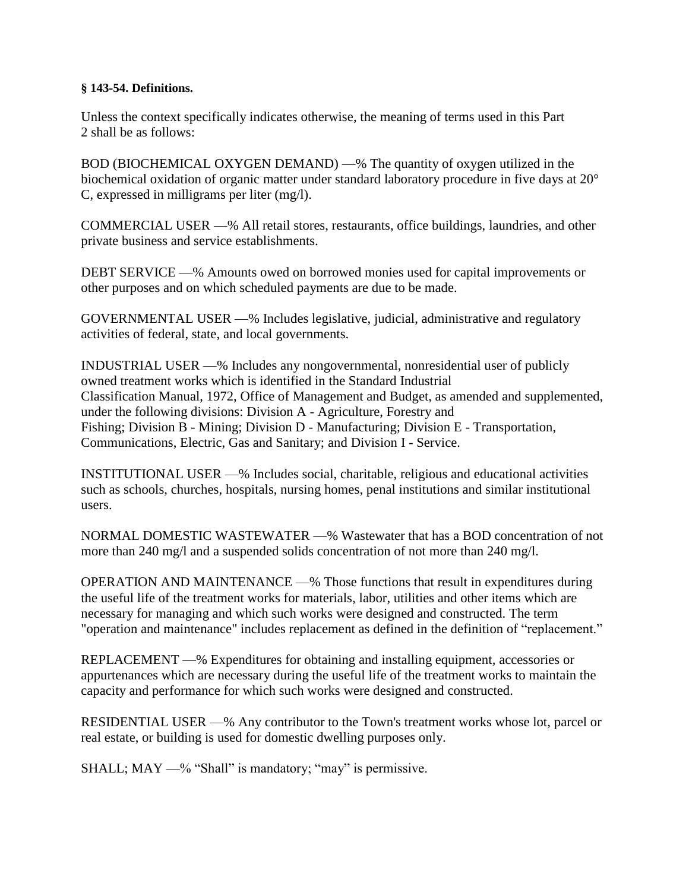### **§ 143-54. Definitions.**

Unless the context specifically indicates otherwise, the meaning of terms used in this Part 2 shall be as follows:

BOD (BIOCHEMICAL OXYGEN DEMAND) —% The quantity of oxygen utilized in the biochemical oxidation of organic matter under standard laboratory procedure in five days at 20° C, expressed in milligrams per liter (mg/l).

COMMERCIAL USER —% All retail stores, restaurants, office buildings, laundries, and other private business and service establishments.

DEBT SERVICE —% Amounts owed on borrowed monies used for capital improvements or other purposes and on which scheduled payments are due to be made.

GOVERNMENTAL USER —% Includes legislative, judicial, administrative and regulatory activities of federal, state, and local governments.

INDUSTRIAL USER —% Includes any nongovernmental, nonresidential user of publicly owned treatment works which is identified in the Standard Industrial Classification Manual, 1972, Office of Management and Budget, as amended and supplemented, under the following divisions: Division A - Agriculture, Forestry and Fishing; Division B - Mining; Division D - Manufacturing; Division E - Transportation, Communications, Electric, Gas and Sanitary; and Division I - Service.

INSTITUTIONAL USER —% Includes social, charitable, religious and educational activities such as schools, churches, hospitals, nursing homes, penal institutions and similar institutional users.

NORMAL DOMESTIC WASTEWATER —% Wastewater that has a BOD concentration of not more than 240 mg/l and a suspended solids concentration of not more than 240 mg/l.

OPERATION AND MAINTENANCE —% Those functions that result in expenditures during the useful life of the treatment works for materials, labor, utilities and other items which are necessary for managing and which such works were designed and constructed. The term "operation and maintenance" includes replacement as defined in the definition of "replacement."

REPLACEMENT —% Expenditures for obtaining and installing equipment, accessories or appurtenances which are necessary during the useful life of the treatment works to maintain the capacity and performance for which such works were designed and constructed.

RESIDENTIAL USER —% Any contributor to the Town's treatment works whose lot, parcel or real estate, or building is used for domestic dwelling purposes only.

SHALL; MAY —% "Shall" is mandatory; "may" is permissive.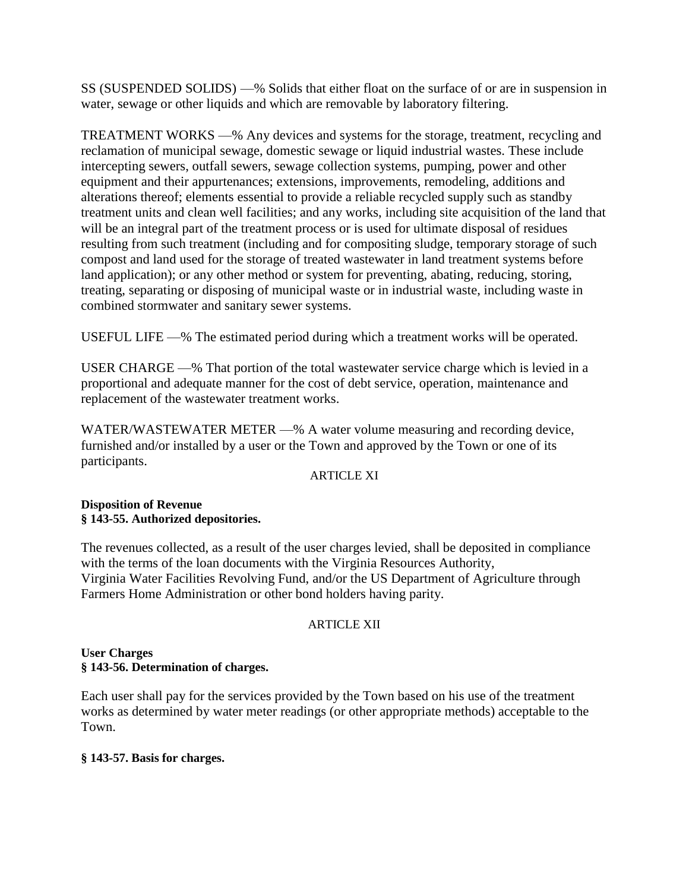SS (SUSPENDED SOLIDS) —% Solids that either float on the surface of or are in suspension in water, sewage or other liquids and which are removable by laboratory filtering.

TREATMENT WORKS —% Any devices and systems for the storage, treatment, recycling and reclamation of municipal sewage, domestic sewage or liquid industrial wastes. These include intercepting sewers, outfall sewers, sewage collection systems, pumping, power and other equipment and their appurtenances; extensions, improvements, remodeling, additions and alterations thereof; elements essential to provide a reliable recycled supply such as standby treatment units and clean well facilities; and any works, including site acquisition of the land that will be an integral part of the treatment process or is used for ultimate disposal of residues resulting from such treatment (including and for compositing sludge, temporary storage of such compost and land used for the storage of treated wastewater in land treatment systems before land application); or any other method or system for preventing, abating, reducing, storing, treating, separating or disposing of municipal waste or in industrial waste, including waste in combined stormwater and sanitary sewer systems.

USEFUL LIFE —% The estimated period during which a treatment works will be operated.

USER CHARGE —% That portion of the total wastewater service charge which is levied in a proportional and adequate manner for the cost of debt service, operation, maintenance and replacement of the wastewater treatment works.

WATER/WASTEWATER METER —% A water volume measuring and recording device, furnished and/or installed by a user or the Town and approved by the Town or one of its participants.

## **ARTICLE XI**

## **Disposition of Revenue § 143-55. Authorized depositories.**

The revenues collected, as a result of the user charges levied, shall be deposited in compliance with the terms of the loan documents with the Virginia Resources Authority, Virginia Water Facilities Revolving Fund, and/or the US Department of Agriculture through Farmers Home Administration or other bond holders having parity.

## ARTICLE XII

## **User Charges § 143-56. Determination of charges.**

Each user shall pay for the services provided by the Town based on his use of the treatment works as determined by water meter readings (or other appropriate methods) acceptable to the Town.

## **§ 143-57. Basis for charges.**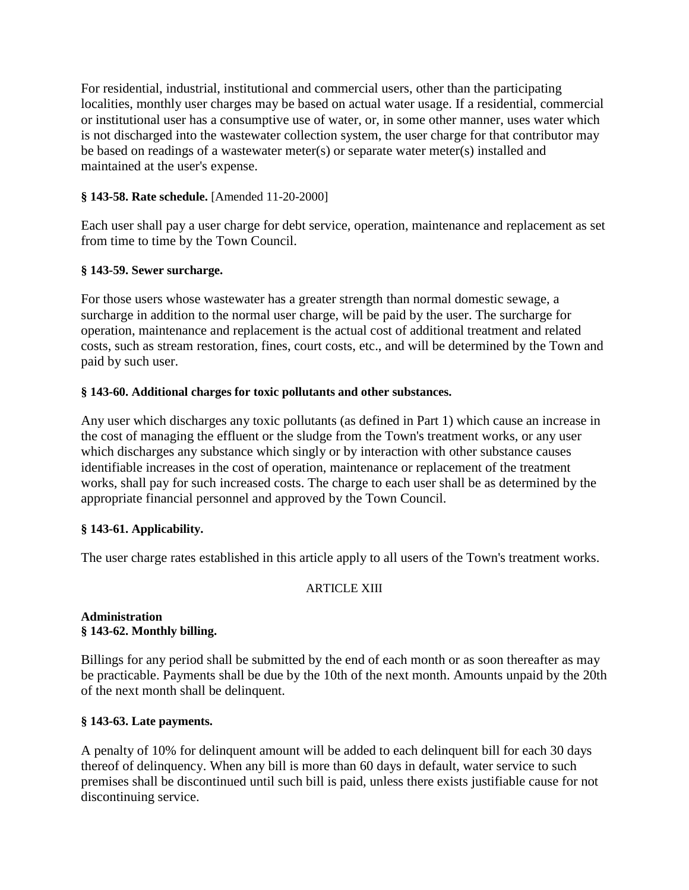For residential, industrial, institutional and commercial users, other than the participating localities, monthly user charges may be based on actual water usage. If a residential, commercial or institutional user has a consumptive use of water, or, in some other manner, uses water which is not discharged into the wastewater collection system, the user charge for that contributor may be based on readings of a wastewater meter(s) or separate water meter(s) installed and maintained at the user's expense.

## **§ 143-58. Rate schedule.** [Amended 11-20-2000]

Each user shall pay a user charge for debt service, operation, maintenance and replacement as set from time to time by the Town Council.

## **§ 143-59. Sewer surcharge.**

For those users whose wastewater has a greater strength than normal domestic sewage, a surcharge in addition to the normal user charge, will be paid by the user. The surcharge for operation, maintenance and replacement is the actual cost of additional treatment and related costs, such as stream restoration, fines, court costs, etc., and will be determined by the Town and paid by such user.

# **§ 143-60. Additional charges for toxic pollutants and other substances.**

Any user which discharges any toxic pollutants (as defined in Part 1) which cause an increase in the cost of managing the effluent or the sludge from the Town's treatment works, or any user which discharges any substance which singly or by interaction with other substance causes identifiable increases in the cost of operation, maintenance or replacement of the treatment works, shall pay for such increased costs. The charge to each user shall be as determined by the appropriate financial personnel and approved by the Town Council.

## **§ 143-61. Applicability.**

The user charge rates established in this article apply to all users of the Town's treatment works.

# ARTICLE XIII

### **Administration § 143-62. Monthly billing.**

Billings for any period shall be submitted by the end of each month or as soon thereafter as may be practicable. Payments shall be due by the 10th of the next month. Amounts unpaid by the 20th of the next month shall be delinquent.

## **§ 143-63. Late payments.**

A penalty of 10% for delinquent amount will be added to each delinquent bill for each 30 days thereof of delinquency. When any bill is more than 60 days in default, water service to such premises shall be discontinued until such bill is paid, unless there exists justifiable cause for not discontinuing service.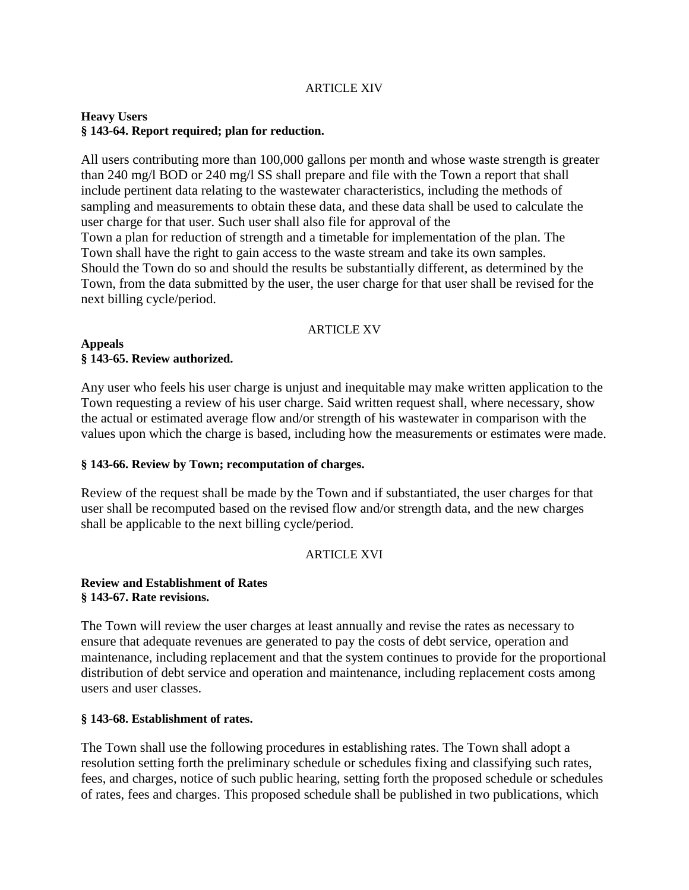### ARTICLE XIV

### **Heavy Users § 143-64. Report required; plan for reduction.**

All users contributing more than 100,000 gallons per month and whose waste strength is greater than 240 mg/l BOD or 240 mg/l SS shall prepare and file with the Town a report that shall include pertinent data relating to the wastewater characteristics, including the methods of sampling and measurements to obtain these data, and these data shall be used to calculate the user charge for that user. Such user shall also file for approval of the Town a plan for reduction of strength and a timetable for implementation of the plan. The

Town shall have the right to gain access to the waste stream and take its own samples. Should the Town do so and should the results be substantially different, as determined by the Town, from the data submitted by the user, the user charge for that user shall be revised for the next billing cycle/period.

#### ARTICLE XV

#### **Appeals § 143-65. Review authorized.**

Any user who feels his user charge is unjust and inequitable may make written application to the Town requesting a review of his user charge. Said written request shall, where necessary, show the actual or estimated average flow and/or strength of his wastewater in comparison with the values upon which the charge is based, including how the measurements or estimates were made.

### **§ 143-66. Review by Town; recomputation of charges.**

Review of the request shall be made by the Town and if substantiated, the user charges for that user shall be recomputed based on the revised flow and/or strength data, and the new charges shall be applicable to the next billing cycle/period.

### ARTICLE XVI

### **Review and Establishment of Rates § 143-67. Rate revisions.**

The Town will review the user charges at least annually and revise the rates as necessary to ensure that adequate revenues are generated to pay the costs of debt service, operation and maintenance, including replacement and that the system continues to provide for the proportional distribution of debt service and operation and maintenance, including replacement costs among users and user classes.

### **§ 143-68. Establishment of rates.**

The Town shall use the following procedures in establishing rates. The Town shall adopt a resolution setting forth the preliminary schedule or schedules fixing and classifying such rates, fees, and charges, notice of such public hearing, setting forth the proposed schedule or schedules of rates, fees and charges. This proposed schedule shall be published in two publications, which